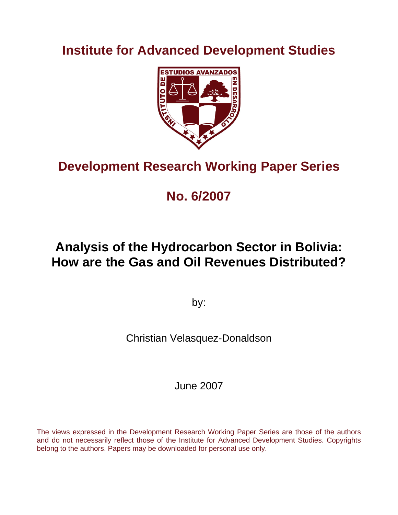**Institute for Advanced Development Studies** 



# **Development Research Working Paper Series**

# **No. 6/2007**

# **Analysis of the Hydrocarbon Sector in Bolivia: How are the Gas and Oil Revenues Distributed?**

by:

Christian Velasquez-Donaldson

June 2007

The views expressed in the Development Research Working Paper Series are those of the authors and do not necessarily reflect those of the Institute for Advanced Development Studies. Copyrights belong to the authors. Papers may be downloaded for personal use only.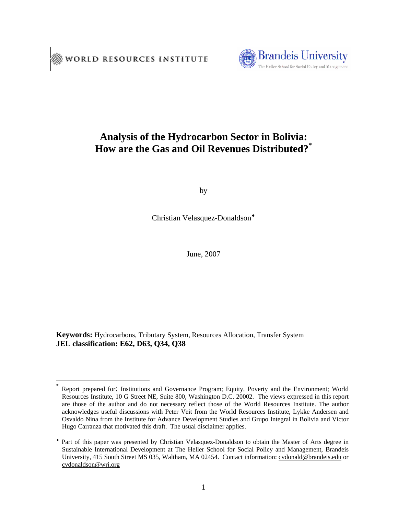

## **Analysis of the Hydrocarbon Sector in Bolivia: How are the Gas and Oil Revenues Distributed?\***

by

Christian Velasquez-Donaldson<sup>+</sup>

June, 2007

**Keywords:** Hydrocarbons, Tributary System, Resources Allocation, Transfer System **JEL classification: E62, D63, Q34, Q38**

 $\overline{a}$ 

Report prepared for: Institutions and Governance Program; Equity, Poverty and the Environment; World Resources Institute, 10 G Street NE, Suite 800, Washington D.C. 20002. The views expressed in this report are those of the author and do not necessary reflect those of the World Resources Institute. The author acknowledges useful discussions with Peter Veit from the World Resources Institute, Lykke Andersen and Osvaldo Nina from the Institute for Advance Development Studies and Grupo Integral in Bolivia and Victor Hugo Carranza that motivated this draft. The usual disclaimer applies.

Part of this paper was presented by Christian Velasquez-Donaldson to obtain the Master of Arts degree in Sustainable International Development at The Heller School for Social Policy and Management, Brandeis University, 415 South Street MS 035, Waltham, MA 02454. Contact information: cvdonald@brandeis.edu or cvdonaldson@wri.org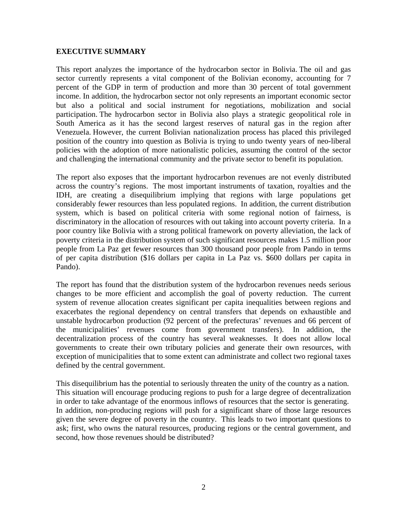#### **EXECUTIVE SUMMARY**

This report analyzes the importance of the hydrocarbon sector in Bolivia. The oil and gas sector currently represents a vital component of the Bolivian economy, accounting for 7 percent of the GDP in term of production and more than 30 percent of total government income. In addition, the hydrocarbon sector not only represents an important economic sector but also a political and social instrument for negotiations, mobilization and social participation. The hydrocarbon sector in Bolivia also plays a strategic geopolitical role in South America as it has the second largest reserves of natural gas in the region after Venezuela. However, the current Bolivian nationalization process has placed this privileged position of the country into question as Bolivia is trying to undo twenty years of neo-liberal policies with the adoption of more nationalistic policies, assuming the control of the sector and challenging the international community and the private sector to benefit its population.

The report also exposes that the important hydrocarbon revenues are not evenly distributed across the country's regions. The most important instruments of taxation, royalties and the IDH, are creating a disequilibrium implying that regions with large populations get considerably fewer resources than less populated regions. In addition, the current distribution system, which is based on political criteria with some regional notion of fairness, is discriminatory in the allocation of resources with out taking into account poverty criteria. In a poor country like Bolivia with a strong political framework on poverty alleviation, the lack of poverty criteria in the distribution system of such significant resources makes 1.5 million poor people from La Paz get fewer resources than 300 thousand poor people from Pando in terms of per capita distribution (\$16 dollars per capita in La Paz vs. \$600 dollars per capita in Pando).

The report has found that the distribution system of the hydrocarbon revenues needs serious changes to be more efficient and accomplish the goal of poverty reduction. The current system of revenue allocation creates significant per capita inequalities between regions and exacerbates the regional dependency on central transfers that depends on exhaustible and unstable hydrocarbon production (92 percent of the prefecturas' revenues and 66 percent of the municipalities' revenues come from government transfers). In addition, the decentralization process of the country has several weaknesses. It does not allow local governments to create their own tributary policies and generate their own resources, with exception of municipalities that to some extent can administrate and collect two regional taxes defined by the central government.

This disequilibrium has the potential to seriously threaten the unity of the country as a nation. This situation will encourage producing regions to push for a large degree of decentralization in order to take advantage of the enormous inflows of resources that the sector is generating. In addition, non-producing regions will push for a significant share of those large resources given the severe degree of poverty in the country. This leads to two important questions to ask; first, who owns the natural resources, producing regions or the central government, and second, how those revenues should be distributed?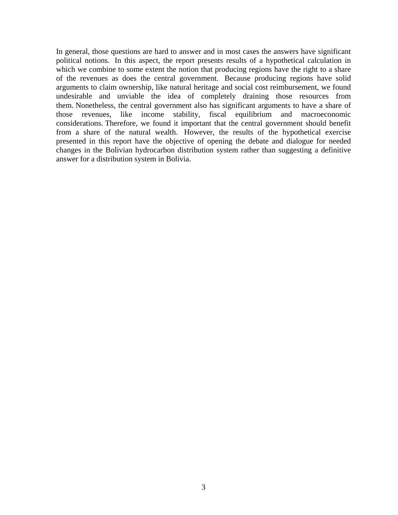In general, those questions are hard to answer and in most cases the answers have significant political notions. In this aspect, the report presents results of a hypothetical calculation in which we combine to some extent the notion that producing regions have the right to a share of the revenues as does the central government. Because producing regions have solid arguments to claim ownership, like natural heritage and social cost reimbursement, we found undesirable and unviable the idea of completely draining those resources from them. Nonetheless, the central government also has significant arguments to have a share of those revenues, like income stability, fiscal equilibrium and macroeconomic considerations. Therefore, we found it important that the central government should benefit from a share of the natural wealth. However, the results of the hypothetical exercise presented in this report have the objective of opening the debate and dialogue for needed changes in the Bolivian hydrocarbon distribution system rather than suggesting a definitive answer for a distribution system in Bolivia.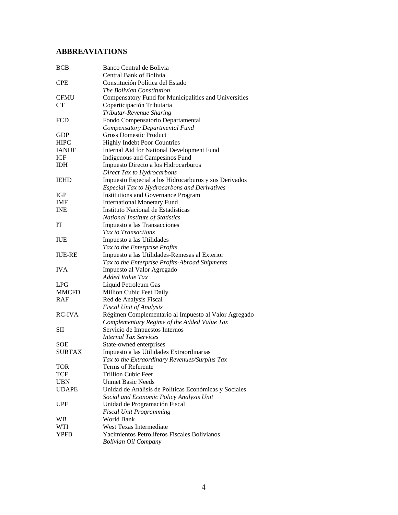## **ABBREAVIATIONS**

| <b>BCB</b>    | Banco Central de Bolivia                              |
|---------------|-------------------------------------------------------|
|               | Central Bank of Bolivia                               |
| <b>CPE</b>    | Constitución Política del Estado                      |
|               | The Bolivian Constitution                             |
| <b>CFMU</b>   | Compensatory Fund for Municipalities and Universities |
| <b>CT</b>     | Coparticipación Tributaria                            |
|               | Tributar-Revenue Sharing                              |
| <b>FCD</b>    | Fondo Compensatorio Departamental                     |
|               | Compensatory Departmental Fund                        |
| GDP           | <b>Gross Domestic Product</b>                         |
| <b>HIPC</b>   | <b>Highly Indebt Poor Countries</b>                   |
| <b>IANDF</b>  | Internal Aid for National Development Fund            |
| ICF           | Indigenous and Campesinos Fund                        |
| <b>IDH</b>    | Impuesto Directo a los Hidrocarburos                  |
|               | Direct Tax to Hydrocarbons                            |
| <b>IEHD</b>   | Impuesto Especial a los Hidrocarburos y sus Derivados |
|               | <b>Especial Tax to Hydrocarbons and Derivatives</b>   |
| IGP           | <b>Institutions and Governance Program</b>            |
| <b>IMF</b>    | <b>International Monetary Fund</b>                    |
| <b>INE</b>    | Instituto Nacional de Estadísticas                    |
|               | National Institute of Statistics                      |
| IT            | Impuesto a las Transacciones                          |
|               | Tax to Transactions                                   |
| <b>IUE</b>    | Impuesto a las Utilidades                             |
|               | Tax to the Enterprise Profits                         |
| <b>IUE-RE</b> | Impuesto a las Utilidades-Remesas al Exterior         |
|               | Tax to the Enterprise Profits-Abroad Shipments        |
| <b>IVA</b>    | Impuesto al Valor Agregado                            |
|               | <b>Added Value Tax</b>                                |
| LPG           | Liquid Petroleum Gas                                  |
| <b>MMCFD</b>  | Million Cubic Feet Daily                              |
| <b>RAF</b>    | Red de Analysis Fiscal                                |
|               | <b>Fiscal Unit of Analysis</b>                        |
| <b>RC-IVA</b> | Régimen Complementario al Impuesto al Valor Agregado  |
|               | Complementary Regime of the Added Value Tax           |
| SП            | Servicio de Impuestos Internos                        |
|               | <b>Internal Tax Services</b>                          |
| <b>SOE</b>    | State-owned enterprises                               |
| SURTAX        | Impuesto a las Utilidades Extraordinarias             |
|               | Tax to the Extraordinary Revenues/Surplus Tax         |
| <b>TOR</b>    | Terms of Referente                                    |
| TCF           | <b>Trillion Cubic Feet</b>                            |
| <b>UBN</b>    | <b>Unmet Basic Needs</b>                              |
| <b>UDAPE</b>  | Unidad de Análisis de Políticas Económicas y Sociales |
|               | Social and Economic Policy Analysis Unit              |
| UPF           | Unidad de Programación Fiscal                         |
|               | <b>Fiscal Unit Programming</b>                        |
| <b>WB</b>     | World Bank                                            |
| WTI           | <b>West Texas Intermediate</b>                        |
| <b>YPFB</b>   | Yacimientos Petrolíferos Fiscales Bolivianos          |
|               | <b>Bolivian Oil Company</b>                           |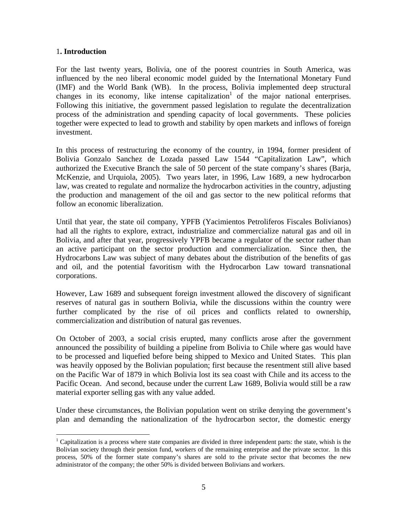#### 1**. Introduction**

 $\overline{a}$ 

For the last twenty years, Bolivia, one of the poorest countries in South America, was influenced by the neo liberal economic model guided by the International Monetary Fund (IMF) and the World Bank (WB). In the process, Bolivia implemented deep structural changes in its economy, like intense capitalization<sup>1</sup> of the major national enterprises. Following this initiative, the government passed legislation to regulate the decentralization process of the administration and spending capacity of local governments. These policies together were expected to lead to growth and stability by open markets and inflows of foreign investment.

In this process of restructuring the economy of the country, in 1994, former president of Bolivia Gonzalo Sanchez de Lozada passed Law 1544 "Capitalization Law", which authorized the Executive Branch the sale of 50 percent of the state company's shares (Barja, McKenzie, and Urquiola, 2005). Two years later, in 1996, Law 1689, a new hydrocarbon law, was created to regulate and normalize the hydrocarbon activities in the country, adjusting the production and management of the oil and gas sector to the new political reforms that follow an economic liberalization.

Until that year, the state oil company, YPFB (Yacimientos Petroliferos Fiscales Bolivianos) had all the rights to explore, extract, industrialize and commercialize natural gas and oil in Bolivia, and after that year, progressively YPFB became a regulator of the sector rather than an active participant on the sector production and commercialization. Since then, the Hydrocarbons Law was subject of many debates about the distribution of the benefits of gas and oil, and the potential favoritism with the Hydrocarbon Law toward transnational corporations.

However, Law 1689 and subsequent foreign investment allowed the discovery of significant reserves of natural gas in southern Bolivia, while the discussions within the country were further complicated by the rise of oil prices and conflicts related to ownership, commercialization and distribution of natural gas revenues.

On October of 2003, a social crisis erupted, many conflicts arose after the government announced the possibility of building a pipeline from Bolivia to Chile where gas would have to be processed and liquefied before being shipped to Mexico and United States. This plan was heavily opposed by the Bolivian population; first because the resentment still alive based on the Pacific War of 1879 in which Bolivia lost its sea coast with Chile and its access to the Pacific Ocean. And second, because under the current Law 1689, Bolivia would still be a raw material exporter selling gas with any value added.

Under these circumstances, the Bolivian population went on strike denying the government's plan and demanding the nationalization of the hydrocarbon sector, the domestic energy

<sup>&</sup>lt;sup>1</sup> Capitalization is a process where state companies are divided in three independent parts: the state, whish is the Bolivian society through their pension fund, workers of the remaining enterprise and the private sector. In this process, 50% of the former state company's shares are sold to the private sector that becomes the new administrator of the company; the other 50% is divided between Bolivians and workers.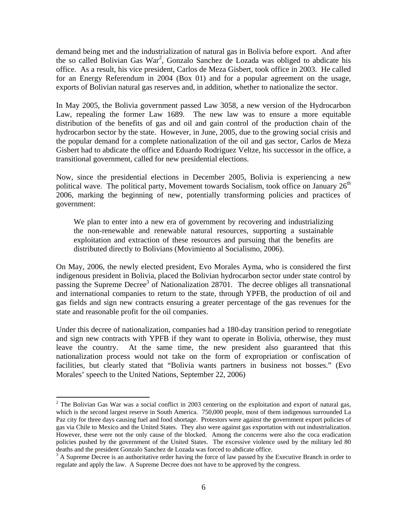demand being met and the industrialization of natural gas in Bolivia before export. And after the so called Bolivian Gas War<sup>2</sup>, Gonzalo Sanchez de Lozada was obliged to abdicate his office. As a result, his vice president, Carlos de Meza Gisbert, took office in 2003. He called for an Energy Referendum in 2004 (Box 01) and for a popular agreement on the usage, exports of Bolivian natural gas reserves and, in addition, whether to nationalize the sector.

In May 2005, the Bolivia government passed Law 3058, a new version of the Hydrocarbon Law, repealing the former Law 1689. The new law was to ensure a more equitable distribution of the benefits of gas and oil and gain control of the production chain of the hydrocarbon sector by the state. However, in June, 2005, due to the growing social crisis and the popular demand for a complete nationalization of the oil and gas sector, Carlos de Meza Gisbert had to abdicate the office and Eduardo Rodriguez Veltze, his successor in the office, a transitional government, called for new presidential elections.

Now, since the presidential elections in December 2005, Bolivia is experiencing a new political wave. The political party, Movement towards Socialism, took office on January  $26<sup>th</sup>$ 2006, marking the beginning of new, potentially transforming policies and practices of government:

We plan to enter into a new era of government by recovering and industrializing the non-renewable and renewable natural resources, supporting a sustainable exploitation and extraction of these resources and pursuing that the benefits are distributed directly to Bolivians (Movimiento al Socialismo, 2006).

On May, 2006, the newly elected president, Evo Morales Ayma, who is considered the first indigenous president in Bolivia, placed the Bolivian hydrocarbon sector under state control by passing the Supreme Decree<sup>3</sup> of Nationalization 28701. The decree obliges all transnational and international companies to return to the state, through YPFB, the production of oil and gas fields and sign new contracts ensuring a greater percentage of the gas revenues for the state and reasonable profit for the oil companies.

Under this decree of nationalization, companies had a 180-day transition period to renegotiate and sign new contracts with YPFB if they want to operate in Bolivia, otherwise, they must leave the country. At the same time, the new president also guaranteed that this nationalization process would not take on the form of expropriation or confiscation of facilities, but clearly stated that "Bolivia wants partners in business not bosses." (Evo Morales' speech to the United Nations, September 22, 2006)

 $\overline{a}$ 

 $2$  The Bolivian Gas War was a social conflict in 2003 centering on the exploitation and export of natural gas, which is the second largest reserve in South America. 750,000 people, most of them indigenous surrounded La Paz city for three days causing fuel and food shortage. Protestors were against the government export policies of gas via Chile to Mexico and the United States. They also were against gas exportation with out industrialization. However, these were not the only cause of the blocked. Among the concerns were also the coca eradication policies pushed by the government of the United States. The excessive violence used by the military led 80 deaths and the president Gonzalo Sanchez de Lozada was forced to abdicate office.

<sup>&</sup>lt;sup>3</sup> A Supreme Decree is an authoritative order having the force of law passed by the Executive Branch in order to regulate and apply the law. A Supreme Decree does not have to be approved by the congress.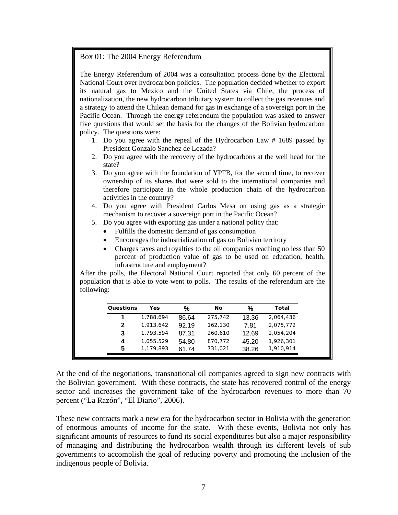#### Box 01: The 2004 Energy Referendum

The Energy Referendum of 2004 was a consultation process done by the Electoral National Court over hydrocarbon policies. The population decided whether to export its natural gas to Mexico and the United States via Chile, the process of nationalization, the new hydrocarbon tributary system to collect the gas revenues and a strategy to attend the Chilean demand for gas in exchange of a sovereign port in the Pacific Ocean. Through the energy referendum the population was asked to answer five questions that would set the basis for the changes of the Bolivian hydrocarbon policy. The questions were:

- 1. Do you agree with the repeal of the Hydrocarbon Law # 1689 passed by President Gonzalo Sanchez de Lozada?
- 2. Do you agree with the recovery of the hydrocarbons at the well head for the state?
- 3. Do you agree with the foundation of YPFB, for the second time, to recover ownership of its shares that were sold to the international companies and therefore participate in the whole production chain of the hydrocarbon activities in the country?
- 4. Do you agree with President Carlos Mesa on using gas as a strategic mechanism to recover a sovereign port in the Pacific Ocean?
- 5. Do you agree with exporting gas under a national policy that:
	- Fulfills the domestic demand of gas consumption
	- Encourages the industrialization of gas on Bolivian territory
	- Charges taxes and royalties to the oil companies reaching no less than 50 percent of production value of gas to be used on education, health, infrastructure and employment?

After the polls, the Electoral National Court reported that only 60 percent of the population that is able to vote went to polls. The results of the referendum are the following:

|   |           | %     | No      | %     | Total     |
|---|-----------|-------|---------|-------|-----------|
| 1 | 1,788,694 | 86.64 | 275,742 | 13.36 | 2,064,436 |
| 2 | 1,913,642 | 92.19 | 162,130 | 7.81  | 2,075,772 |
| 3 | 1,793,594 | 87.31 | 260,610 | 12.69 | 2,054,204 |
| 4 | 1,055,529 | 54.80 | 870,772 | 45.20 | 1,926,301 |
| 5 | 1,179,893 | 61.74 | 731,021 | 38.26 | 1,910,914 |

At the end of the negotiations, transnational oil companies agreed to sign new contracts with the Bolivian government. With these contracts, the state has recovered control of the energy sector and increases the government take of the hydrocarbon revenues to more than 70 percent ("La Razón", "El Diario", 2006).

These new contracts mark a new era for the hydrocarbon sector in Bolivia with the generation of enormous amounts of income for the state. With these events, Bolivia not only has significant amounts of resources to fund its social expenditures but also a major responsibility of managing and distributing the hydrocarbon wealth through its different levels of sub governments to accomplish the goal of reducing poverty and promoting the inclusion of the indigenous people of Bolivia.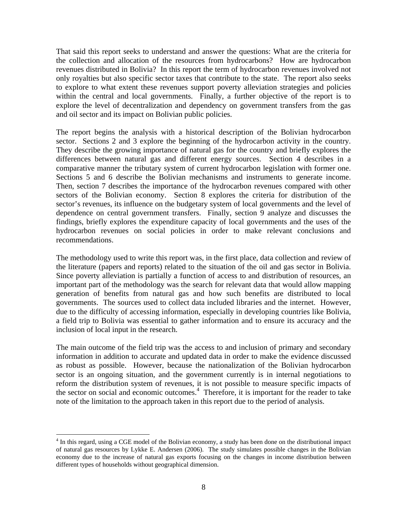That said this report seeks to understand and answer the questions: What are the criteria for the collection and allocation of the resources from hydrocarbons? How are hydrocarbon revenues distributed in Bolivia? In this report the term of hydrocarbon revenues involved not only royalties but also specific sector taxes that contribute to the state. The report also seeks to explore to what extent these revenues support poverty alleviation strategies and policies within the central and local governments. Finally, a further objective of the report is to explore the level of decentralization and dependency on government transfers from the gas and oil sector and its impact on Bolivian public policies.

The report begins the analysis with a historical description of the Bolivian hydrocarbon sector. Sections 2 and 3 explore the beginning of the hydrocarbon activity in the country. They describe the growing importance of natural gas for the country and briefly explores the differences between natural gas and different energy sources. Section 4 describes in a comparative manner the tributary system of current hydrocarbon legislation with former one. Sections 5 and 6 describe the Bolivian mechanisms and instruments to generate income. Then, section 7 describes the importance of the hydrocarbon revenues compared with other sectors of the Bolivian economy. Section 8 explores the criteria for distribution of the sector's revenues, its influence on the budgetary system of local governments and the level of dependence on central government transfers. Finally, section 9 analyze and discusses the findings, briefly explores the expenditure capacity of local governments and the uses of the hydrocarbon revenues on social policies in order to make relevant conclusions and recommendations.

The methodology used to write this report was, in the first place, data collection and review of the literature (papers and reports) related to the situation of the oil and gas sector in Bolivia. Since poverty alleviation is partially a function of access to and distribution of resources, an important part of the methodology was the search for relevant data that would allow mapping generation of benefits from natural gas and how such benefits are distributed to local governments. The sources used to collect data included libraries and the internet. However, due to the difficulty of accessing information, especially in developing countries like Bolivia, a field trip to Bolivia was essential to gather information and to ensure its accuracy and the inclusion of local input in the research.

The main outcome of the field trip was the access to and inclusion of primary and secondary information in addition to accurate and updated data in order to make the evidence discussed as robust as possible. However, because the nationalization of the Bolivian hydrocarbon sector is an ongoing situation, and the government currently is in internal negotiations to reform the distribution system of revenues, it is not possible to measure specific impacts of the sector on social and economic outcomes.<sup>4</sup> Therefore, it is important for the reader to take note of the limitation to the approach taken in this report due to the period of analysis.

 $\overline{a}$ 

<sup>&</sup>lt;sup>4</sup> In this regard, using a CGE model of the Bolivian economy, a study has been done on the distributional impact of natural gas resources by Lykke E. Andersen (2006). The study simulates possible changes in the Bolivian economy due to the increase of natural gas exports focusing on the changes in income distribution between different types of households without geographical dimension.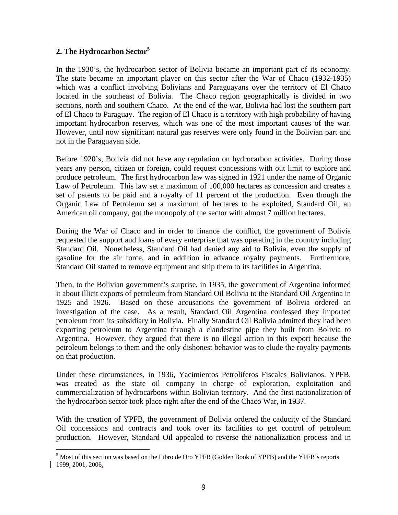### **2. The Hydrocarbon Sector5**

 $\overline{a}$ 

In the 1930's, the hydrocarbon sector of Bolivia became an important part of its economy. The state became an important player on this sector after the War of Chaco (1932-1935) which was a conflict involving Bolivians and Paraguayans over the territory of El Chaco located in the southeast of Bolivia. The Chaco region geographically is divided in two sections, north and southern Chaco. At the end of the war, Bolivia had lost the southern part of El Chaco to Paraguay. The region of El Chaco is a territory with high probability of having important hydrocarbon reserves, which was one of the most important causes of the war. However, until now significant natural gas reserves were only found in the Bolivian part and not in the Paraguayan side.

Before 1920's, Bolivia did not have any regulation on hydrocarbon activities. During those years any person, citizen or foreign, could request concessions with out limit to explore and produce petroleum. The first hydrocarbon law was signed in 1921 under the name of Organic Law of Petroleum. This law set a maximum of 100,000 hectares as concession and creates a set of patents to be paid and a royalty of 11 percent of the production. Even though the Organic Law of Petroleum set a maximum of hectares to be exploited, Standard Oil, an American oil company, got the monopoly of the sector with almost 7 million hectares.

During the War of Chaco and in order to finance the conflict, the government of Bolivia requested the support and loans of every enterprise that was operating in the country including Standard Oil. Nonetheless, Standard Oil had denied any aid to Bolivia, even the supply of gasoline for the air force, and in addition in advance royalty payments. Furthermore, Standard Oil started to remove equipment and ship them to its facilities in Argentina.

Then, to the Bolivian government's surprise, in 1935, the government of Argentina informed it about illicit exports of petroleum from Standard Oil Bolivia to the Standard Oil Argentina in 1925 and 1926. Based on these accusations the government of Bolivia ordered an investigation of the case. As a result, Standard Oil Argentina confessed they imported petroleum from its subsidiary in Bolivia. Finally Standard Oil Bolivia admitted they had been exporting petroleum to Argentina through a clandestine pipe they built from Bolivia to Argentina. However, they argued that there is no illegal action in this export because the petroleum belongs to them and the only dishonest behavior was to elude the royalty payments on that production.

Under these circumstances, in 1936, Yacimientos Petroliferos Fiscales Bolivianos, YPFB, was created as the state oil company in charge of exploration, exploitation and commercialization of hydrocarbons within Bolivian territory. And the first nationalization of the hydrocarbon sector took place right after the end of the Chaco War, in 1937.

With the creation of YPFB, the government of Bolivia ordered the caducity of the Standard Oil concessions and contracts and took over its facilities to get control of petroleum production. However, Standard Oil appealed to reverse the nationalization process and in

<sup>&</sup>lt;sup>5</sup> Most of this section was based on the Libro de Oro YPFB (Golden Book of YPFB) and the YPFB's reports 1999, 2001, 2006.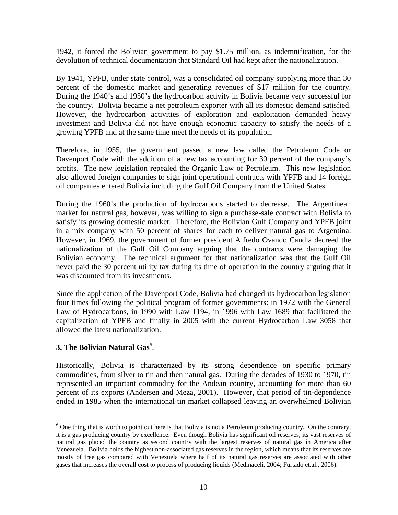1942, it forced the Bolivian government to pay \$1.75 million, as indemnification, for the devolution of technical documentation that Standard Oil had kept after the nationalization.

By 1941, YPFB, under state control, was a consolidated oil company supplying more than 30 percent of the domestic market and generating revenues of \$17 million for the country. During the 1940's and 1950's the hydrocarbon activity in Bolivia became very successful for the country. Bolivia became a net petroleum exporter with all its domestic demand satisfied. However, the hydrocarbon activities of exploration and exploitation demanded heavy investment and Bolivia did not have enough economic capacity to satisfy the needs of a growing YPFB and at the same time meet the needs of its population.

Therefore, in 1955, the government passed a new law called the Petroleum Code or Davenport Code with the addition of a new tax accounting for 30 percent of the company's profits. The new legislation repealed the Organic Law of Petroleum. This new legislation also allowed foreign companies to sign joint operational contracts with YPFB and 14 foreign oil companies entered Bolivia including the Gulf Oil Company from the United States.

During the 1960's the production of hydrocarbons started to decrease. The Argentinean market for natural gas, however, was willing to sign a purchase-sale contract with Bolivia to satisfy its growing domestic market. Therefore, the Bolivian Gulf Company and YPFB joint in a mix company with 50 percent of shares for each to deliver natural gas to Argentina. However, in 1969, the government of former president Alfredo Ovando Candia decreed the nationalization of the Gulf Oil Company arguing that the contracts were damaging the Bolivian economy. The technical argument for that nationalization was that the Gulf Oil never paid the 30 percent utility tax during its time of operation in the country arguing that it was discounted from its investments.

Since the application of the Davenport Code, Bolivia had changed its hydrocarbon legislation four times following the political program of former governments: in 1972 with the General Law of Hydrocarbons, in 1990 with Law 1194, in 1996 with Law 1689 that facilitated the capitalization of YPFB and finally in 2005 with the current Hydrocarbon Law 3058 that allowed the latest nationalization.

### **3. The Bolivian Natural Gas**<sup>6</sup> ,

 $\overline{a}$ 

Historically, Bolivia is characterized by its strong dependence on specific primary commodities, from silver to tin and then natural gas. During the decades of 1930 to 1970, tin represented an important commodity for the Andean country, accounting for more than 60 percent of its exports (Andersen and Meza, 2001). However, that period of tin-dependence ended in 1985 when the international tin market collapsed leaving an overwhelmed Bolivian

<sup>&</sup>lt;sup>6</sup> One thing that is worth to point out here is that Bolivia is not a Petroleum producing country. On the contrary, it is a gas producing country by excellence. Even though Bolivia has significant oil reserves, its vast reserves of natural gas placed the country as second country with the largest reserves of natural gas in America after Venezuela. Bolivia holds the highest non-associated gas reserves in the region, which means that its reserves are mostly of free gas compared with Venezuela where half of its natural gas reserves are associated with other gases that increases the overall cost to process of producing liquids (Medinaceli, 2004; Furtado et.al., 2006).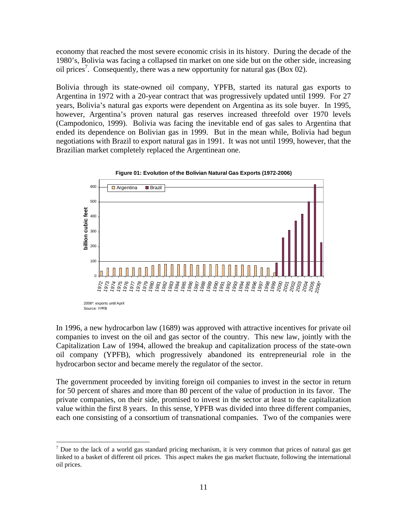economy that reached the most severe economic crisis in its history. During the decade of the 1980's, Bolivia was facing a collapsed tin market on one side but on the other side, increasing oil prices<sup>7</sup>. Consequently, there was a new opportunity for natural gas (Box 02).

Bolivia through its state-owned oil company, YPFB, started its natural gas exports to Argentina in 1972 with a 20-year contract that was progressively updated until 1999. For 27 years, Bolivia's natural gas exports were dependent on Argentina as its sole buyer. In 1995, however, Argentina's proven natural gas reserves increased threefold over 1970 levels (Campodonico, 1999). Bolivia was facing the inevitable end of gas sales to Argentina that ended its dependence on Bolivian gas in 1999. But in the mean while, Bolivia had begun negotiations with Brazil to export natural gas in 1991. It was not until 1999, however, that the Brazilian market completely replaced the Argentinean one.



<sup>2006\*:</sup> exports until April

 $\overline{a}$ 

In 1996, a new hydrocarbon law (1689) was approved with attractive incentives for private oil companies to invest on the oil and gas sector of the country. This new law, jointly with the Capitalization Law of 1994, allowed the breakup and capitalization process of the state-own oil company (YPFB), which progressively abandoned its entrepreneurial role in the hydrocarbon sector and became merely the regulator of the sector.

The government proceeded by inviting foreign oil companies to invest in the sector in return for 50 percent of shares and more than 80 percent of the value of production in its favor. The private companies, on their side, promised to invest in the sector at least to the capitalization value within the first 8 years. In this sense, YPFB was divided into three different companies, each one consisting of a consortium of transnational companies. Two of the companies were

 $<sup>7</sup>$  Due to the lack of a world gas standard pricing mechanism, it is very common that prices of natural gas get</sup> linked to a basket of different oil prices. This aspect makes the gas market fluctuate, following the international oil prices.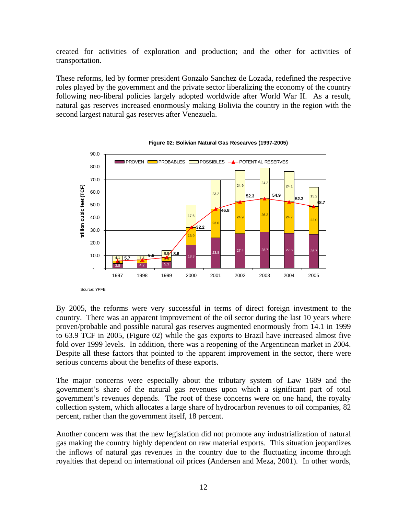created for activities of exploration and production; and the other for activities of transportation.

These reforms, led by former president Gonzalo Sanchez de Lozada, redefined the respective roles played by the government and the private sector liberalizing the economy of the country following neo-liberal policies largely adopted worldwide after World War II. As a result, natural gas reserves increased enormously making Bolivia the country in the region with the second largest natural gas reserves after Venezuela.





By 2005, the reforms were very successful in terms of direct foreign investment to the country. There was an apparent improvement of the oil sector during the last 10 years where proven/probable and possible natural gas reserves augmented enormously from 14.1 in 1999 to 63.9 TCF in 2005, (Figure 02) while the gas exports to Brazil have increased almost five fold over 1999 levels. In addition, there was a reopening of the Argentinean market in 2004. Despite all these factors that pointed to the apparent improvement in the sector, there were serious concerns about the benefits of these exports.

The major concerns were especially about the tributary system of Law 1689 and the government's share of the natural gas revenues upon which a significant part of total government's revenues depends. The root of these concerns were on one hand, the royalty collection system, which allocates a large share of hydrocarbon revenues to oil companies, 82 percent, rather than the government itself, 18 percent.

Another concern was that the new legislation did not promote any industrialization of natural gas making the country highly dependent on raw material exports. This situation jeopardizes the inflows of natural gas revenues in the country due to the fluctuating income through royalties that depend on international oil prices (Andersen and Meza, 2001). In other words,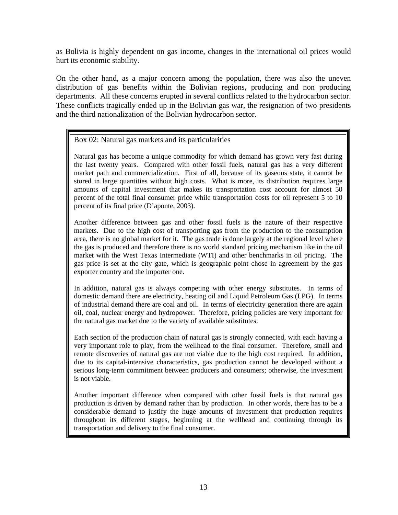as Bolivia is highly dependent on gas income, changes in the international oil prices would hurt its economic stability.

On the other hand, as a major concern among the population, there was also the uneven distribution of gas benefits within the Bolivian regions, producing and non producing departments. All these concerns erupted in several conflicts related to the hydrocarbon sector. These conflicts tragically ended up in the Bolivian gas war, the resignation of two presidents and the third nationalization of the Bolivian hydrocarbon sector.

### Box 02: Natural gas markets and its particularities

Natural gas has become a unique commodity for which demand has grown very fast during the last twenty years. Compared with other fossil fuels, natural gas has a very different market path and commercialization. First of all, because of its gaseous state, it cannot be stored in large quantities without high costs. What is more, its distribution requires large amounts of capital investment that makes its transportation cost account for almost 50 percent of the total final consumer price while transportation costs for oil represent 5 to 10 percent of its final price (D'aponte, 2003).

Another difference between gas and other fossil fuels is the nature of their respective markets. Due to the high cost of transporting gas from the production to the consumption area, there is no global market for it. The gas trade is done largely at the regional level where the gas is produced and therefore there is no world standard pricing mechanism like in the oil market with the West Texas Intermediate (WTI) and other benchmarks in oil pricing. The gas price is set at the city gate, which is geographic point chose in agreement by the gas exporter country and the importer one.

In addition, natural gas is always competing with other energy substitutes. In terms of domestic demand there are electricity, heating oil and Liquid Petroleum Gas (LPG). In terms of industrial demand there are coal and oil. In terms of electricity generation there are again oil, coal, nuclear energy and hydropower. Therefore, pricing policies are very important for the natural gas market due to the variety of available substitutes.

Each section of the production chain of natural gas is strongly connected, with each having a very important role to play, from the wellhead to the final consumer. Therefore, small and remote discoveries of natural gas are not viable due to the high cost required. In addition, due to its capital-intensive characteristics, gas production cannot be developed without a serious long-term commitment between producers and consumers; otherwise, the investment is not viable.

Another important difference when compared with other fossil fuels is that natural gas production is driven by demand rather than by production. In other words, there has to be a considerable demand to justify the huge amounts of investment that production requires throughout its different stages, beginning at the wellhead and continuing through its transportation and delivery to the final consumer.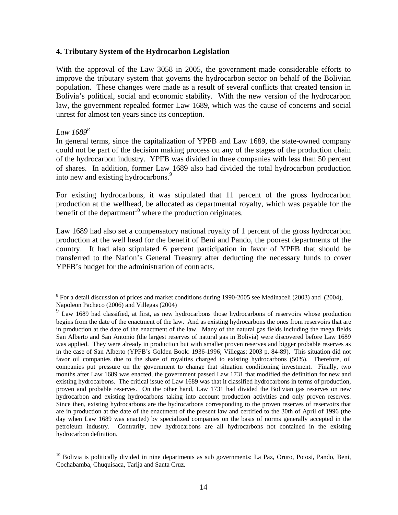#### **4. Tributary System of the Hydrocarbon Legislation**

With the approval of the Law 3058 in 2005, the government made considerable efforts to improve the tributary system that governs the hydrocarbon sector on behalf of the Bolivian population. These changes were made as a result of several conflicts that created tension in Bolivia's political, social and economic stability. With the new version of the hydrocarbon law, the government repealed former Law 1689, which was the cause of concerns and social unrest for almost ten years since its conception.

#### *Law 1689<sup>8</sup>*

In general terms, since the capitalization of YPFB and Law 1689, the state-owned company could not be part of the decision making process on any of the stages of the production chain of the hydrocarbon industry. YPFB was divided in three companies with less than 50 percent of shares. In addition, former Law 1689 also had divided the total hydrocarbon production into new and existing hydrocarbons.<sup>9</sup>

For existing hydrocarbons, it was stipulated that 11 percent of the gross hydrocarbon production at the wellhead, be allocated as departmental royalty, which was payable for the benefit of the department<sup>10</sup> where the production originates.

Law 1689 had also set a compensatory national royalty of 1 percent of the gross hydrocarbon production at the well head for the benefit of Beni and Pando, the poorest departments of the country. It had also stipulated 6 percent participation in favor of YPFB that should be transferred to the Nation's General Treasury after deducting the necessary funds to cover YPFB's budget for the administration of contracts.

<sup>&</sup>lt;sup>8</sup> For a detail discussion of prices and market conditions during 1990-2005 see Medinaceli (2003) and (2004), Napoleon Pacheco (2006) and Villegas (2004)

<sup>&</sup>lt;sup>9</sup> Law 1689 had classified, at first, as new hydrocarbons those hydrocarbons of reservoirs whose production begins from the date of the enactment of the law. And as existing hydrocarbons the ones from reservoirs that are in production at the date of the enactment of the law. Many of the natural gas fields including the mega fields San Alberto and San Antonio (the largest reserves of natural gas in Bolivia) were discovered before Law 1689 was applied. They were already in production but with smaller proven reserves and bigger probable reserves as in the case of San Alberto (YPFB's Golden Book: 1936-1996; Villegas: 2003 p. 84-89). This situation did not favor oil companies due to the share of royalties charged to existing hydrocarbons (50%). Therefore, oil companies put pressure on the government to change that situation conditioning investment. Finally, two months after Law 1689 was enacted, the government passed Law 1731 that modified the definition for new and existing hydrocarbons. The critical issue of Law 1689 was that it classified hydrocarbons in terms of production, proven and probable reserves. On the other hand, Law 1731 had divided the Bolivian gas reserves on new hydrocarbon and existing hydrocarbons taking into account production activities and only proven reserves. Since then, existing hydrocarbons are the hydrocarbons corresponding to the proven reserves of reservoirs that are in production at the date of the enactment of the present law and certified to the 30th of April of 1996 (the day when Law 1689 was enacted) by specialized companies on the basis of norms generally accepted in the petroleum industry. Contrarily, new hydrocarbons are all hydrocarbons not contained in the existing hydrocarbon definition.

<sup>&</sup>lt;sup>10</sup> Bolivia is politically divided in nine departments as sub governments: La Paz, Oruro, Potosi, Pando, Beni, Cochabamba, Chuquisaca, Tarija and Santa Cruz.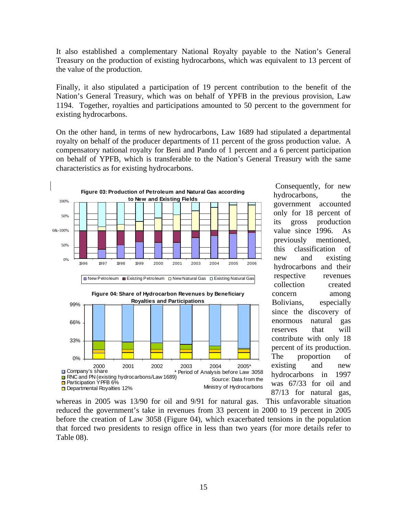It also established a complementary National Royalty payable to the Nation's General Treasury on the production of existing hydrocarbons, which was equivalent to 13 percent of the value of the production.

Finally, it also stipulated a participation of 19 percent contribution to the benefit of the Nation's General Treasury, which was on behalf of YPFB in the previous provision, Law 1194. Together, royalties and participations amounted to 50 percent to the government for existing hydrocarbons.

On the other hand, in terms of new hydrocarbons, Law 1689 had stipulated a departmental royalty on behalf of the producer departments of 11 percent of the gross production value. A compensatory national royalty for Beni and Pando of 1 percent and a 6 percent participation on behalf of YPFB, which is transferable to the Nation's General Treasury with the same characteristics as for existing hydrocarbons.



 Consequently, for new hydrocarbons, the government accounted only for 18 percent of its gross production value since 1996. As previously mentioned, this classification of new and existing hydrocarbons and their respective revenues collection created concern among Bolivians, especially since the discovery of enormous natural gas reserves that will contribute with only 18 percent of its production. The proportion of existing and new hydrocarbons in 1997 was 67/33 for oil and 87/13 for natural gas,

whereas in 2005 was 13/90 for oil and 9/91 for natural gas. This unfavorable situation reduced the government's take in revenues from 33 percent in 2000 to 19 percent in 2005 before the creation of Law 3058 (Figure 04), which exacerbated tensions in the population that forced two presidents to resign office in less than two years (for more details refer to Table 08).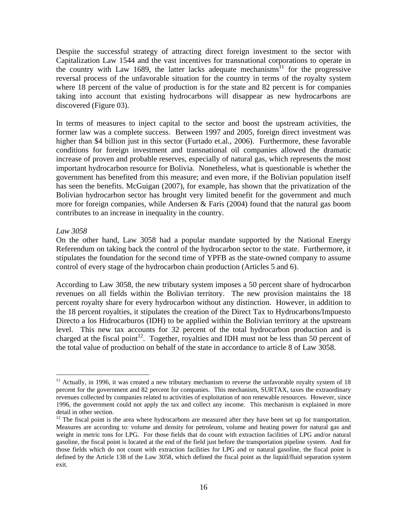Despite the successful strategy of attracting direct foreign investment to the sector with Capitalization Law 1544 and the vast incentives for transnational corporations to operate in the country with Law 1689, the latter lacks adequate mechanisms<sup>11</sup> for the progressive reversal process of the unfavorable situation for the country in terms of the royalty system where 18 percent of the value of production is for the state and 82 percent is for companies taking into account that existing hydrocarbons will disappear as new hydrocarbons are discovered (Figure 03).

In terms of measures to inject capital to the sector and boost the upstream activities, the former law was a complete success. Between 1997 and 2005, foreign direct investment was higher than \$4 billion just in this sector (Furtado et.al., 2006). Furthermore, these favorable conditions for foreign investment and transnational oil companies allowed the dramatic increase of proven and probable reserves, especially of natural gas, which represents the most important hydrocarbon resource for Bolivia. Nonetheless, what is questionable is whether the government has benefited from this measure; and even more, if the Bolivian population itself has seen the benefits. McGuigan (2007), for example, has shown that the privatization of the Bolivian hydrocarbon sector has brought very limited benefit for the government and much more for foreign companies, while Andersen  $\&$  Faris (2004) found that the natural gas boom contributes to an increase in inequality in the country.

#### *Law 3058*

 $\overline{a}$ 

On the other hand, Law 3058 had a popular mandate supported by the National Energy Referendum on taking back the control of the hydrocarbon sector to the state. Furthermore, it stipulates the foundation for the second time of YPFB as the state-owned company to assume control of every stage of the hydrocarbon chain production (Articles 5 and 6).

According to Law 3058, the new tributary system imposes a 50 percent share of hydrocarbon revenues on all fields within the Bolivian territory. The new provision maintains the 18 percent royalty share for every hydrocarbon without any distinction. However, in addition to the 18 percent royalties, it stipulates the creation of the Direct Tax to Hydrocarbons/Impuesto Directo a los Hidrocarburos (IDH) to be applied within the Bolivian territory at the upstream level. This new tax accounts for 32 percent of the total hydrocarbon production and is charged at the fiscal point<sup>12</sup>. Together, royalties and IDH must not be less than 50 percent of the total value of production on behalf of the state in accordance to article 8 of Law 3058.

<sup>&</sup>lt;sup>11</sup> Actually, in 1996, it was created a new tributary mechanism to reverse the unfavorable royalty system of 18 percent for the government and 82 percent for companies. This mechanism, SURTAX, taxes the extraordinary revenues collected by companies related to activities of exploitation of non renewable resources. However, since 1996, the government could not apply the tax and collect any income. This mechanism is explained in more detail in other section.

 $12$  The fiscal point is the area where hydrocarbons are measured after they have been set up for transportation. Measures are according to: volume and density for petroleum, volume and heating power for natural gas and weight in metric tons for LPG. For those fields that do count with extraction facilities of LPG and/or natural gasoline, the fiscal point is located at the end of the field just before the transportation pipeline system. And for those fields which do not count with extraction facilities for LPG and or natural gasoline, the fiscal point is defined by the Article 138 of the Law 3058, which defined the fiscal point as the liquid/fluid separation system exit.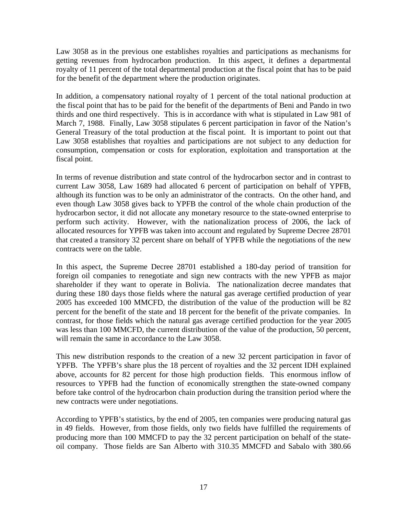Law 3058 as in the previous one establishes royalties and participations as mechanisms for getting revenues from hydrocarbon production. In this aspect, it defines a departmental royalty of 11 percent of the total departmental production at the fiscal point that has to be paid for the benefit of the department where the production originates.

In addition, a compensatory national royalty of 1 percent of the total national production at the fiscal point that has to be paid for the benefit of the departments of Beni and Pando in two thirds and one third respectively. This is in accordance with what is stipulated in Law 981 of March 7, 1988. Finally, Law 3058 stipulates 6 percent participation in favor of the Nation's General Treasury of the total production at the fiscal point. It is important to point out that Law 3058 establishes that royalties and participations are not subject to any deduction for consumption, compensation or costs for exploration, exploitation and transportation at the fiscal point.

In terms of revenue distribution and state control of the hydrocarbon sector and in contrast to current Law 3058, Law 1689 had allocated 6 percent of participation on behalf of YPFB, although its function was to be only an administrator of the contracts. On the other hand, and even though Law 3058 gives back to YPFB the control of the whole chain production of the hydrocarbon sector, it did not allocate any monetary resource to the state-owned enterprise to perform such activity. However, with the nationalization process of 2006, the lack of allocated resources for YPFB was taken into account and regulated by Supreme Decree 28701 that created a transitory 32 percent share on behalf of YPFB while the negotiations of the new contracts were on the table.

In this aspect, the Supreme Decree 28701 established a 180-day period of transition for foreign oil companies to renegotiate and sign new contracts with the new YPFB as major shareholder if they want to operate in Bolivia. The nationalization decree mandates that during these 180 days those fields where the natural gas average certified production of year 2005 has exceeded 100 MMCFD, the distribution of the value of the production will be 82 percent for the benefit of the state and 18 percent for the benefit of the private companies. In contrast, for those fields which the natural gas average certified production for the year 2005 was less than 100 MMCFD, the current distribution of the value of the production, 50 percent, will remain the same in accordance to the Law 3058.

This new distribution responds to the creation of a new 32 percent participation in favor of YPFB. The YPFB's share plus the 18 percent of royalties and the 32 percent IDH explained above, accounts for 82 percent for those high production fields. This enormous inflow of resources to YPFB had the function of economically strengthen the state-owned company before take control of the hydrocarbon chain production during the transition period where the new contracts were under negotiations.

According to YPFB's statistics, by the end of 2005, ten companies were producing natural gas in 49 fields. However, from those fields, only two fields have fulfilled the requirements of producing more than 100 MMCFD to pay the 32 percent participation on behalf of the stateoil company. Those fields are San Alberto with 310.35 MMCFD and Sabalo with 380.66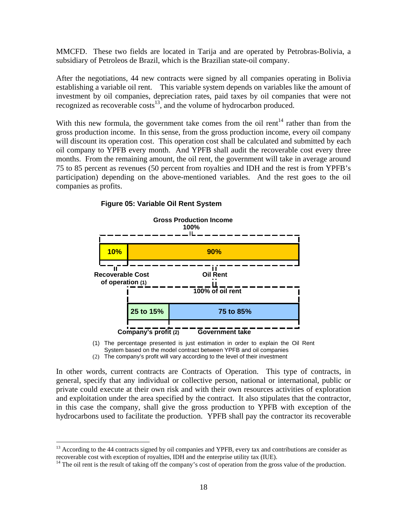MMCFD. These two fields are located in Tarija and are operated by Petrobras-Bolivia, a subsidiary of Petroleos de Brazil, which is the Brazilian state-oil company.

After the negotiations, 44 new contracts were signed by all companies operating in Bolivia establishing a variable oil rent. This variable system depends on variables like the amount of investment by oil companies, depreciation rates, paid taxes by oil companies that were not recognized as recoverable  $\cos^{-1}$ , and the volume of hydrocarbon produced.

With this new formula, the government take comes from the oil rent<sup>14</sup> rather than from the gross production income. In this sense, from the gross production income, every oil company will discount its operation cost. This operation cost shall be calculated and submitted by each oil company to YPFB every month. And YPFB shall audit the recoverable cost every three months. From the remaining amount, the oil rent, the government will take in average around 75 to 85 percent as revenues (50 percent from royalties and IDH and the rest is from YPFB's participation) depending on the above-mentioned variables. And the rest goes to the oil companies as profits.



#### **Figure 05: Variable Oil Rent System**

(1) The percentage presented is just estimation in order to explain the Oil Rent System based on the model contract between YPFB and oil companies

(2) The company's profit will vary according to the level of their investment

In other words, current contracts are Contracts of Operation. This type of contracts, in general, specify that any individual or collective person, national or international, public or private could execute at their own risk and with their own resources activities of exploration and exploitation under the area specified by the contract. It also stipulates that the contractor, in this case the company, shall give the gross production to YPFB with exception of the hydrocarbons used to facilitate the production. YPFB shall pay the contractor its recoverable

 $\overline{a}$ 

<sup>&</sup>lt;sup>13</sup> According to the 44 contracts signed by oil companies and YPFB, every tax and contributions are consider as recoverable cost with exception of royalties, IDH and the enterprise utility tax (IUE).

 $14$  The oil rent is the result of taking off the company's cost of operation from the gross value of the production.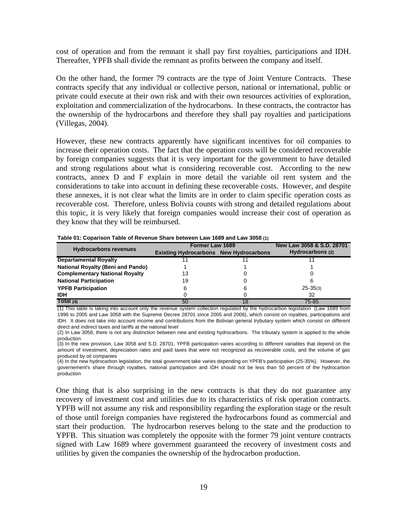cost of operation and from the remnant it shall pay first royalties, participations and IDH. Thereafter, YPFB shall divide the remnant as profits between the company and itself.

On the other hand, the former 79 contracts are the type of Joint Venture Contracts. These contracts specify that any individual or collective person, national or international, public or private could execute at their own risk and with their own resources activities of exploration, exploitation and commercialization of the hydrocarbons. In these contracts, the contractor has the ownership of the hydrocarbons and therefore they shall pay royalties and participations (Villegas, 2004).

However, these new contracts apparently have significant incentives for oil companies to increase their operation costs. The fact that the operation costs will be considered recoverable by foreign companies suggests that it is very important for the government to have detailed and strong regulations about what is considering recoverable cost. According to the new contracts, annex D and F explain in more detail the variable oil rent system and the considerations to take into account in defining these recoverable costs. However, and despite these annexes, it is not clear what the limits are in order to claim specific operation costs as recoverable cost. Therefore, unless Bolivia counts with strong and detailed regulations about this topic, it is very likely that foreign companies would increase their cost of operation as they know that they will be reimbursed.

|                                          | Former Law 1689                               | New Law 3058 & S.D. 28701 |                  |
|------------------------------------------|-----------------------------------------------|---------------------------|------------------|
| <b>Hydrocarbons revenues</b>             | <b>Existing Hydrocarbons New Hydrocarbons</b> |                           | Hydrocarbons (2) |
| <b>Departamental Royalty</b>             |                                               |                           |                  |
| <b>National Royalty (Beni and Pando)</b> |                                               |                           |                  |
| <b>Complementary National Royalty</b>    | 13                                            |                           |                  |
| <b>National Participation</b>            | 19                                            |                           |                  |
| <b>YPFB Participation</b>                | 6                                             | 6                         | $25 - 35(3)$     |
| <b>IDH</b>                               |                                               |                           | 32               |
| Total (4)                                | 50                                            | 18                        | 75-85            |

**Table 01: Coparison Table of Revenue Share between Law 1689 and Law 3058 (1)**

(1) This table is taking into account only the revenue system collection regulated by the hydrocarbon legislation (Law 1689 from 1996 to 2005 and Law 3058 with the Supreme Decree 28701 since 2005 and 2006), which consist on royalties, participations and IDH. It does not take into account income and contributions from the Bolivian general trybutary system which consist on different direct and indirect taxes and tariffs at the national level

(2) In Law 3058, there is not any distinction between new and existing hydrocarbons. The tributary system is applied to the whole production

(3) In the new provision, Law 3058 and S.D. 28701, YPFB participation varies according to different variables that depend on the amount of investment, depreciation rates and paid taxes that were not recognized as recoverable costs, and the volume of gas produced by oil companies

(4) In the new hydrocarbon legislation, the total government take varies depending on YPFB's participation (25-35%). However, the governement's share through royalties, national participation and IDH should not be less than 50 percent of the hydrocarbon production

One thing that is also surprising in the new contracts is that they do not guarantee any recovery of investment cost and utilities due to its characteristics of risk operation contracts. YPFB will not assume any risk and responsibility regarding the exploration stage or the result of those until foreign companies have registered the hydrocarbons found as commercial and start their production. The hydrocarbon reserves belong to the state and the production to YPFB. This situation was completely the opposite with the former 79 joint venture contracts signed with Law 1689 where government guaranteed the recovery of investment costs and utilities by given the companies the ownership of the hydrocarbon production.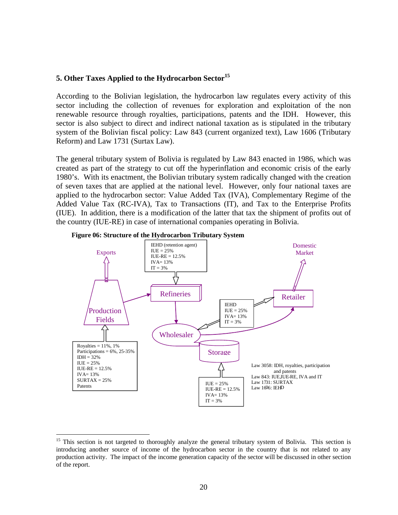### **5. Other Taxes Applied to the Hydrocarbon Sector**<sup>15</sup>

According to the Bolivian legislation, the hydrocarbon law regulates every activity of this sector including the collection of revenues for exploration and exploitation of the non renewable resource through royalties, participations, patents and the IDH. However, this sector is also subject to direct and indirect national taxation as is stipulated in the tributary system of the Bolivian fiscal policy: Law 843 (current organized text), Law 1606 (Tributary Reform) and Law 1731 (Surtax Law).

The general tributary system of Bolivia is regulated by Law 843 enacted in 1986, which was created as part of the strategy to cut off the hyperinflation and economic crisis of the early 1980's. With its enactment, the Bolivian tributary system radically changed with the creation of seven taxes that are applied at the national level. However, only four national taxes are applied to the hydrocarbon sector: Value Added Tax (IVA), Complementary Regime of the Added Value Tax (RC-IVA), Tax to Transactions (IT), and Tax to the Enterprise Profits (IUE). In addition, there is a modification of the latter that tax the shipment of profits out of the country (IUE-RE) in case of international companies operating in Bolivia.





 $\overline{a}$ 

<sup>&</sup>lt;sup>15</sup> This section is not targeted to thoroughly analyze the general tributary system of Bolivia. This section is introducing another source of income of the hydrocarbon sector in the country that is not related to any production activity. The impact of the income generation capacity of the sector will be discussed in other section of the report.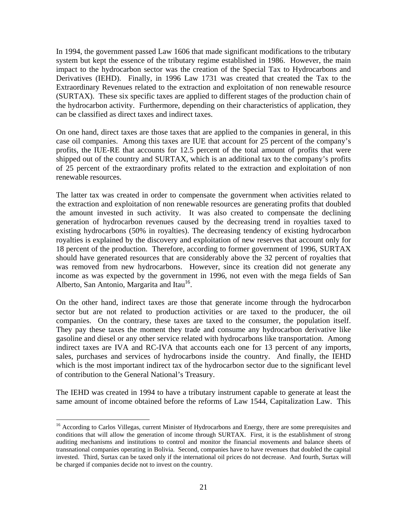In 1994, the government passed Law 1606 that made significant modifications to the tributary system but kept the essence of the tributary regime established in 1986. However, the main impact to the hydrocarbon sector was the creation of the Special Tax to Hydrocarbons and Derivatives (IEHD). Finally, in 1996 Law 1731 was created that created the Tax to the Extraordinary Revenues related to the extraction and exploitation of non renewable resource (SURTAX). These six specific taxes are applied to different stages of the production chain of the hydrocarbon activity. Furthermore, depending on their characteristics of application, they can be classified as direct taxes and indirect taxes.

On one hand, direct taxes are those taxes that are applied to the companies in general, in this case oil companies. Among this taxes are IUE that account for 25 percent of the company's profits, the IUE-RE that accounts for 12.5 percent of the total amount of profits that were shipped out of the country and SURTAX, which is an additional tax to the company's profits of 25 percent of the extraordinary profits related to the extraction and exploitation of non renewable resources.

The latter tax was created in order to compensate the government when activities related to the extraction and exploitation of non renewable resources are generating profits that doubled the amount invested in such activity. It was also created to compensate the declining generation of hydrocarbon revenues caused by the decreasing trend in royalties taxed to existing hydrocarbons (50% in royalties). The decreasing tendency of existing hydrocarbon royalties is explained by the discovery and exploitation of new reserves that account only for 18 percent of the production. Therefore, according to former government of 1996, SURTAX should have generated resources that are considerably above the 32 percent of royalties that was removed from new hydrocarbons. However, since its creation did not generate any income as was expected by the government in 1996, not even with the mega fields of San Alberto, San Antonio, Margarita and Itau<sup>16</sup>.

On the other hand, indirect taxes are those that generate income through the hydrocarbon sector but are not related to production activities or are taxed to the producer, the oil companies. On the contrary, these taxes are taxed to the consumer, the population itself. They pay these taxes the moment they trade and consume any hydrocarbon derivative like gasoline and diesel or any other service related with hydrocarbons like transportation. Among indirect taxes are IVA and RC-IVA that accounts each one for 13 percent of any imports, sales, purchases and services of hydrocarbons inside the country. And finally, the IEHD which is the most important indirect tax of the hydrocarbon sector due to the significant level of contribution to the General National's Treasury.

The IEHD was created in 1994 to have a tributary instrument capable to generate at least the same amount of income obtained before the reforms of Law 1544, Capitalization Law. This

 $\overline{a}$ 

<sup>&</sup>lt;sup>16</sup> According to Carlos Villegas, current Minister of Hydrocarbons and Energy, there are some prerequisites and conditions that will allow the generation of income through SURTAX. First, it is the establishment of strong auditing mechanisms and institutions to control and monitor the financial movements and balance sheets of transnational companies operating in Bolivia. Second, companies have to have revenues that doubled the capital invested. Third, Surtax can be taxed only if the international oil prices do not decrease. And fourth, Surtax will be charged if companies decide not to invest on the country.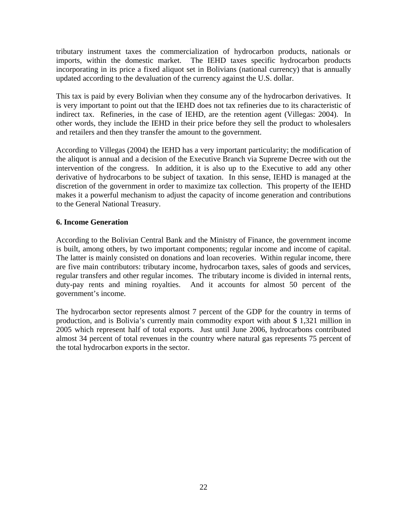tributary instrument taxes the commercialization of hydrocarbon products, nationals or imports, within the domestic market. The IEHD taxes specific hydrocarbon products incorporating in its price a fixed aliquot set in Bolivians (national currency) that is annually updated according to the devaluation of the currency against the U.S. dollar.

This tax is paid by every Bolivian when they consume any of the hydrocarbon derivatives. It is very important to point out that the IEHD does not tax refineries due to its characteristic of indirect tax. Refineries, in the case of IEHD, are the retention agent (Villegas: 2004). In other words, they include the IEHD in their price before they sell the product to wholesalers and retailers and then they transfer the amount to the government.

According to Villegas (2004) the IEHD has a very important particularity; the modification of the aliquot is annual and a decision of the Executive Branch via Supreme Decree with out the intervention of the congress. In addition, it is also up to the Executive to add any other derivative of hydrocarbons to be subject of taxation. In this sense, IEHD is managed at the discretion of the government in order to maximize tax collection. This property of the IEHD makes it a powerful mechanism to adjust the capacity of income generation and contributions to the General National Treasury.

### **6. Income Generation**

According to the Bolivian Central Bank and the Ministry of Finance, the government income is built, among others, by two important components; regular income and income of capital. The latter is mainly consisted on donations and loan recoveries. Within regular income, there are five main contributors: tributary income, hydrocarbon taxes, sales of goods and services, regular transfers and other regular incomes. The tributary income is divided in internal rents, duty-pay rents and mining royalties. And it accounts for almost 50 percent of the government's income.

The hydrocarbon sector represents almost 7 percent of the GDP for the country in terms of production, and is Bolivia's currently main commodity export with about \$ 1,321 million in 2005 which represent half of total exports. Just until June 2006, hydrocarbons contributed almost 34 percent of total revenues in the country where natural gas represents 75 percent of the total hydrocarbon exports in the sector.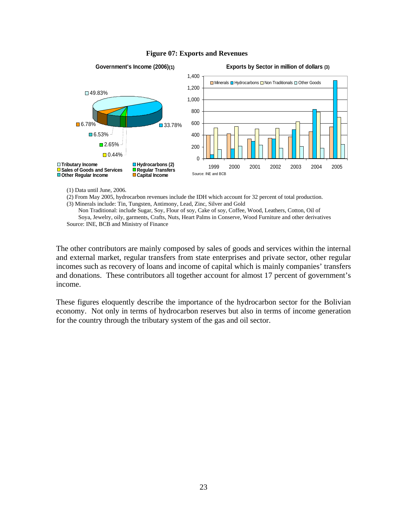

#### **Figure 07: Exports and Revenues**

(1) Data until June, 2006.

(2) From May 2005, hydrocarbon revenues include the IDH which account for 32 percent of total production. (3) Minerals include: Tin, Tungsten, Antimony, Lead, Zinc, Silver and Gold

Non Traditional: include Sugar, Soy, Flour of soy, Cake of soy, Coffee, Wood, Leathers, Cotton, Oil of Soya, Jewelry, oily, garments, Crafts, Nuts, Heart Palms in Conserve, Wood Furniture and other derivatives Source: INE, BCB and Ministry of Finance

The other contributors are mainly composed by sales of goods and services within the internal and external market, regular transfers from state enterprises and private sector, other regular incomes such as recovery of loans and income of capital which is mainly companies' transfers and donations. These contributors all together account for almost 17 percent of government's income.

These figures eloquently describe the importance of the hydrocarbon sector for the Bolivian economy. Not only in terms of hydrocarbon reserves but also in terms of income generation for the country through the tributary system of the gas and oil sector.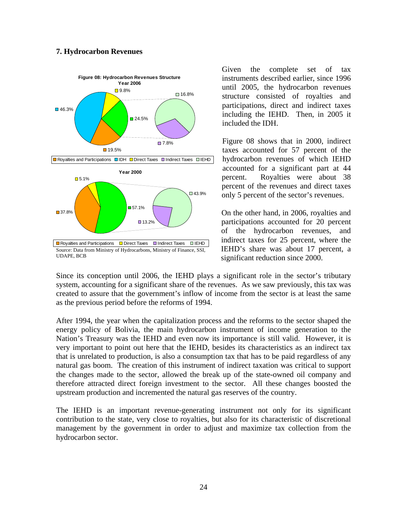#### **7. Hydrocarbon Revenues**



Given the complete set of tax instruments described earlier, since 1996 until 2005, the hydrocarbon revenues structure consisted of royalties and participations, direct and indirect taxes including the IEHD. Then, in 2005 it included the IDH.

Figure 08 shows that in 2000, indirect taxes accounted for 57 percent of the hydrocarbon revenues of which IEHD accounted for a significant part at 44 percent. Royalties were about 38 percent of the revenues and direct taxes only 5 percent of the sector's revenues.

On the other hand, in 2006, royalties and participations accounted for 20 percent of the hydrocarbon revenues, and indirect taxes for 25 percent, where the IEHD's share was about 17 percent, a significant reduction since 2000.

Since its conception until 2006, the IEHD plays a significant role in the sector's tributary system, accounting for a significant share of the revenues. As we saw previously, this tax was created to assure that the government's inflow of income from the sector is at least the same as the previous period before the reforms of 1994.

After 1994, the year when the capitalization process and the reforms to the sector shaped the energy policy of Bolivia, the main hydrocarbon instrument of income generation to the Nation's Treasury was the IEHD and even now its importance is still valid. However, it is very important to point out here that the IEHD, besides its characteristics as an indirect tax that is unrelated to production, is also a consumption tax that has to be paid regardless of any natural gas boom. The creation of this instrument of indirect taxation was critical to support the changes made to the sector, allowed the break up of the state-owned oil company and therefore attracted direct foreign investment to the sector. All these changes boosted the upstream production and incremented the natural gas reserves of the country.

The IEHD is an important revenue-generating instrument not only for its significant contribution to the state, very close to royalties, but also for its characteristic of discretional management by the government in order to adjust and maximize tax collection from the hydrocarbon sector.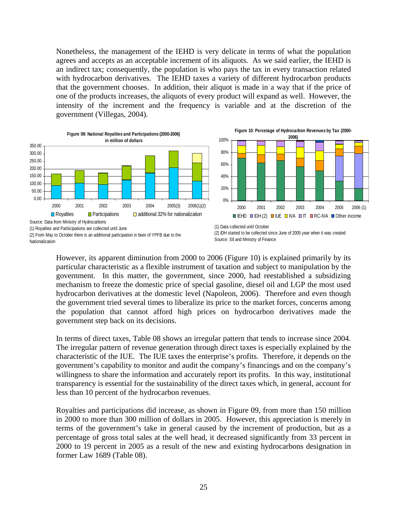Nonetheless, the management of the IEHD is very delicate in terms of what the population agrees and accepts as an acceptable increment of its aliquots. As we said earlier, the IEHD is an indirect tax; consequently, the population is who pays the tax in every transaction related with hydrocarbon derivatives. The IEHD taxes a variety of different hydrocarbon products that the government chooses. In addition, their aliquot is made in a way that if the price of one of the products increases, the aliquots of every product will expand as well. However, the intensity of the increment and the frequency is variable and at the discretion of the government (Villegas, 2004).



However, its apparent diminution from 2000 to 2006 (Figure 10) is explained primarily by its particular characteristic as a flexible instrument of taxation and subject to manipulation by the government. In this matter, the government, since 2000, had reestablished a subsidizing mechanism to freeze the domestic price of special gasoline, diesel oil and LGP the most used hydrocarbon derivatives at the domestic level (Napoleon, 2006). Therefore and even though the government tried several times to liberalize its price to the market forces, concerns among the population that cannot afford high prices on hydrocarbon derivatives made the government step back on its decisions.

In terms of direct taxes, Table 08 shows an irregular pattern that tends to increase since 2004. The irregular pattern of revenue generation through direct taxes is especially explained by the characteristic of the IUE. The IUE taxes the enterprise's profits. Therefore, it depends on the government's capability to monitor and audit the company's financings and on the company's willingness to share the information and accurately report its profits. In this way, institutional transparency is essential for the sustainability of the direct taxes which, in general, account for less than 10 percent of the hydrocarbon revenues.

Royalties and participations did increase, as shown in Figure 09, from more than 150 million in 2000 to more than 300 million of dollars in 2005. However, this appreciation is merely in terms of the government's take in general caused by the increment of production, but as a percentage of gross total sales at the well head, it decreased significantly from 33 percent in 2000 to 19 percent in 2005 as a result of the new and existing hydrocarbons designation in former Law 1689 (Table 08).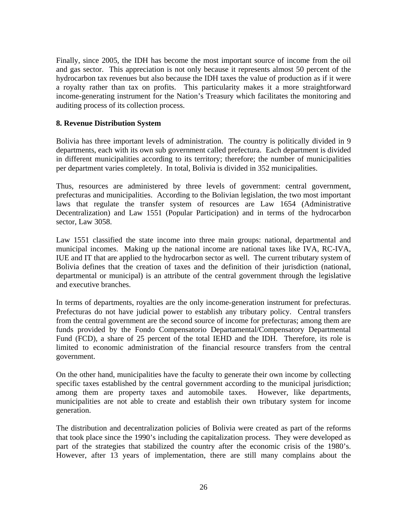Finally, since 2005, the IDH has become the most important source of income from the oil and gas sector. This appreciation is not only because it represents almost 50 percent of the hydrocarbon tax revenues but also because the IDH taxes the value of production as if it were a royalty rather than tax on profits. This particularity makes it a more straightforward income-generating instrument for the Nation's Treasury which facilitates the monitoring and auditing process of its collection process.

#### **8. Revenue Distribution System**

Bolivia has three important levels of administration. The country is politically divided in 9 departments, each with its own sub government called prefectura. Each department is divided in different municipalities according to its territory; therefore; the number of municipalities per department varies completely. In total, Bolivia is divided in 352 municipalities.

Thus, resources are administered by three levels of government: central government, prefecturas and municipalities. According to the Bolivian legislation, the two most important laws that regulate the transfer system of resources are Law 1654 (Administrative Decentralization) and Law 1551 (Popular Participation) and in terms of the hydrocarbon sector, Law 3058.

Law 1551 classified the state income into three main groups: national, departmental and municipal incomes. Making up the national income are national taxes like IVA, RC-IVA, IUE and IT that are applied to the hydrocarbon sector as well. The current tributary system of Bolivia defines that the creation of taxes and the definition of their jurisdiction (national, departmental or municipal) is an attribute of the central government through the legislative and executive branches.

In terms of departments, royalties are the only income-generation instrument for prefecturas. Prefecturas do not have judicial power to establish any tributary policy. Central transfers from the central government are the second source of income for prefecturas; among them are funds provided by the Fondo Compensatorio Departamental/Compensatory Departmental Fund (FCD), a share of 25 percent of the total IEHD and the IDH. Therefore, its role is limited to economic administration of the financial resource transfers from the central government.

On the other hand, municipalities have the faculty to generate their own income by collecting specific taxes established by the central government according to the municipal jurisdiction; among them are property taxes and automobile taxes. However, like departments, municipalities are not able to create and establish their own tributary system for income generation.

The distribution and decentralization policies of Bolivia were created as part of the reforms that took place since the 1990's including the capitalization process. They were developed as part of the strategies that stabilized the country after the economic crisis of the 1980's. However, after 13 years of implementation, there are still many complains about the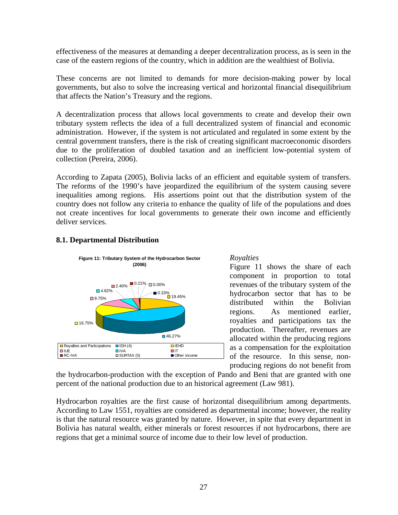effectiveness of the measures at demanding a deeper decentralization process, as is seen in the case of the eastern regions of the country, which in addition are the wealthiest of Bolivia.

These concerns are not limited to demands for more decision-making power by local governments, but also to solve the increasing vertical and horizontal financial disequilibrium that affects the Nation's Treasury and the regions.

A decentralization process that allows local governments to create and develop their own tributary system reflects the idea of a full decentralized system of financial and economic administration. However, if the system is not articulated and regulated in some extent by the central government transfers, there is the risk of creating significant macroeconomic disorders due to the proliferation of doubled taxation and an inefficient low-potential system of collection (Pereira, 2006).

According to Zapata (2005), Bolivia lacks of an efficient and equitable system of transfers. The reforms of the 1990's have jeopardized the equilibrium of the system causing severe inequalities among regions. His assertions point out that the distribution system of the country does not follow any criteria to enhance the quality of life of the populations and does not create incentives for local governments to generate their own income and efficiently deliver services.



### **8.1. Departmental Distribution**

#### *Royalties*

Figure 11 shows the share of each component in proportion to total revenues of the tributary system of the hydrocarbon sector that has to be distributed within the Bolivian regions. As mentioned earlier, royalties and participations tax the production. Thereafter, revenues are allocated within the producing regions as a compensation for the exploitation of the resource. In this sense, nonproducing regions do not benefit from

the hydrocarbon-production with the exception of Pando and Beni that are granted with one percent of the national production due to an historical agreement (Law 981).

Hydrocarbon royalties are the first cause of horizontal disequilibrium among departments. According to Law 1551, royalties are considered as departmental income; however, the reality is that the natural resource was granted by nature. However, in spite that every department in Bolivia has natural wealth, either minerals or forest resources if not hydrocarbons, there are regions that get a minimal source of income due to their low level of production.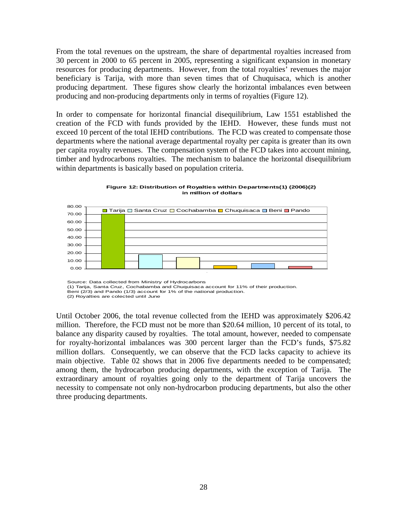From the total revenues on the upstream, the share of departmental royalties increased from 30 percent in 2000 to 65 percent in 2005, representing a significant expansion in monetary resources for producing departments. However, from the total royalties' revenues the major beneficiary is Tarija, with more than seven times that of Chuquisaca, which is another producing department. These figures show clearly the horizontal imbalances even between producing and non-producing departments only in terms of royalties (Figure 12).

In order to compensate for horizontal financial disequilibrium, Law 1551 established the creation of the FCD with funds provided by the IEHD. However, these funds must not exceed 10 percent of the total IEHD contributions. The FCD was created to compensate those departments where the national average departmental royalty per capita is greater than its own per capita royalty revenues. The compensation system of the FCD takes into account mining, timber and hydrocarbons royalties. The mechanism to balance the horizontal disequilibrium within departments is basically based on population criteria.



**Figure 12: Distribution of Royalties within Departments(1) (2006)(2) in million of dollars**

Source: Data collected from Ministry of Hydrocarbons (1) Tarija, Santa Cruz, Cochabamba and Chuquisaca account for 11% of their production. Beni (2/3) and Pando (1/3) account for 1% of the national production. (2) Royalties are colected until June

Until October 2006, the total revenue collected from the IEHD was approximately \$206.42 million. Therefore, the FCD must not be more than \$20.64 million, 10 percent of its total, to balance any disparity caused by royalties. The total amount, however, needed to compensate for royalty-horizontal imbalances was 300 percent larger than the FCD's funds, \$75.82 million dollars. Consequently, we can observe that the FCD lacks capacity to achieve its main objective. Table 02 shows that in 2006 five departments needed to be compensated; among them, the hydrocarbon producing departments, with the exception of Tarija. The extraordinary amount of royalties going only to the department of Tarija uncovers the necessity to compensate not only non-hydrocarbon producing departments, but also the other three producing departments.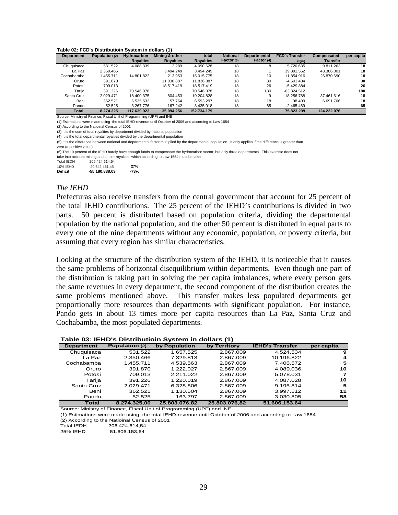#### **Table 02: FCD's Distributioin System in dollars (1)**

| <b>Department</b> | Population (2) | <b>Hydrocarbon</b> | Mining & other   | total            | <b>National</b> | <b>Departmental</b> | <b>FCD's Transfer</b> | Compensated     | per capita |
|-------------------|----------------|--------------------|------------------|------------------|-----------------|---------------------|-----------------------|-----------------|------------|
|                   |                | <b>Royalties</b>   | <b>Royalties</b> | <b>Royalties</b> | Factor (3)      | Factor (4)          | (5)(6)                | <b>Transfer</b> |            |
| Chuguisaca        | 531.522        | 4.088.339          | 2.289            | 4.090.628        | 18              | 8                   | 5.720.635             | 9.811.263       | 18         |
| La Paz            | 2.350.466      |                    | 3.494.249        | 3.494.249        | 18              |                     | 39.892.552            | 43.386.801      | 18         |
| Cochabamba        | 1.455.711      | 14.801.822         | 213.953          | 15.015.775       | 18              | 10                  | 11.854.916            | 26.870.690      | 18         |
| Oruro             | 391.870        |                    | 11.836.887       | 11.836.887       | 18              | 30                  | $-4.603.434$          |                 | 30         |
| Potosí            | 709.013        |                    | 18.517.419       | 18.517.419       | 18              | 26                  | $-5.429.884$          |                 | 26         |
| Tarija            | 391.226        | 70.546.078         |                  | 70.546.078       | 18              | 180                 | $-63.324.512$         |                 | 180        |
| Santa Cruz        | 2.029.471      | 18.400.375         | 804.453          | 19.204.828       | 18              | g                   | 18.256.788            | 37.461.616      | 18         |
| Beni              | 362.521        | 6.535.532          | 57.764           | 6.593.297        | 18              | 18                  | 98.409                | 6.691.706       | 18         |
| Pando             | 52.525         | 3.267.776          | 167.242          | 3.435.018        | 18              | 65                  | $-2.465.469$          |                 | 65         |
| <b>Total</b>      | 8.274.325      | 117.639.923        | 35.094.256       | 152.734.179      |                 |                     | 75.823.299            | 124.222.076     |            |
|                   |                |                    |                  |                  |                 |                     |                       |                 |            |

Source: Ministry of Finance, Fiscal Unit of Programming (UPF) and INE

(1) Estimations were made using the total IEHD-revenue until October of 2006 and according to Law 1654

(2) According to the Natioinal Census of 2001

(3) It is the sum of total royalties by department divided by national population

(4) It is the total departmental royalties divided by the departmental population

(5) It is the difference between national and departmental factor multiplied by the departmental population. It only applies if the difference is greater than zero (a positive value)

(6) The 10 percent of the IEHD barely have enough funds to compensate the hydrocarbon sector, but only three departments. This exercise does not take into account mining and timber royalties, which according to Law 1654 must be taken.

| <b>Total IEDH</b> | 206.424.614.54 |        |
|-------------------|----------------|--------|
| 10% IEHD          | 20.642.461.45  | 27%    |
| Deficit           | -55.180.838.03 | $-73%$ |

#### *The IEHD*

Prefecturas also receive transfers from the central government that account for 25 percent of the total IEHD contributions. The 25 percent of the IEHD's contributions is divided in two parts. 50 percent is distributed based on population criteria, dividing the departmental population by the national population, and the other 50 percent is distributed in equal parts to every one of the nine departments without any economic, population, or poverty criteria, but assuming that every region has similar characteristics.

Looking at the structure of the distribution system of the IEHD, it is noticeable that it causes the same problems of horizontal disequilibrium within departments. Even though one part of the distribution is taking part in solving the per capita imbalances, where every person gets the same revenues in every department, the second component of the distribution creates the same problems mentioned above. This transfer makes less populated departments get proportionally more resources than departments with significant population. For instance, Pando gets in about 13 times more per capita resources than La Paz, Santa Cruz and Cochabamba, the most populated departments.

#### **Table 03: IEHD's Distributioin System in dollars (1)**

|                   |                |               | $\cdot$       |                        |            |
|-------------------|----------------|---------------|---------------|------------------------|------------|
| <b>Department</b> | Population (2) | by Population | by Territory  | <b>IEHD's Transfer</b> | per capita |
| Chuquisaca        | 531.522        | 1.657.525     | 2.867.009     | 4.524.534              | 9          |
| La Paz            | 2.350.466      | 7.329.813     | 2.867.009     | 10.196.822             | 4          |
| Cochabamba        | 1.455.711      | 4.539.563     | 2.867.009     | 7.406.572              | 5          |
| Oruro             | 391.870        | 1.222.027     | 2.867.009     | 4.089.036              | 10         |
| Potosí            | 709.013        | 2.211.022     | 2.867.009     | 5.078.031              | 7          |
| Tarija            | 391.226        | 1.220.019     | 2.867.009     | 4.087.028              | 10         |
| Santa Cruz        | 2.029.471      | 6.328.806     | 2.867.009     | 9.195.814              | 5          |
| Beni              | 362.521        | 1.130.504     | 2.867.009     | 3.997.512              | 11         |
| Pando             | 52.525         | 163.797       | 2.867.009     | 3.030.805              | 58         |
| <b>Total</b>      | 8.274.325.00   | 25.803.076.82 | 25.803.076.82 | 51.606.153.64          |            |

Source: Ministry of Finance, Fiscal Unit of Programming (UPF) and INE

(1) Estimations were made using the total IEHD-revenue until October of 2006 and according to Law 1654

(2) According to the Natioinal Census of 2001

206.424.614,54 25% IEHD 51.606.153,64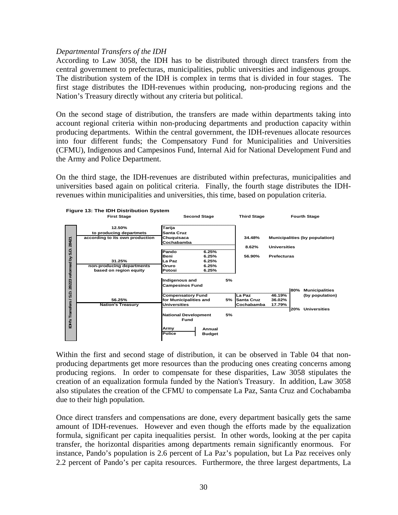#### *Departmental Transfers of the IDH*

According to Law 3058, the IDH has to be distributed through direct transfers from the central government to prefecturas, municipalities, public universities and indigenous groups. The distribution system of the IDH is complex in terms that is divided in four stages. The first stage distributes the IDH-revenues within producing, non-producing regions and the Nation's Treasury directly without any criteria but political.

On the second stage of distribution, the transfers are made within departments taking into account regional criteria within non-producing departments and production capacity within producing departments. Within the central government, the IDH-revenues allocate resources into four different funds; the Compensatory Fund for Municipalities and Universities (CFMU), Indigenous and Campesinos Fund, Internal Aid for National Development Fund and the Army and Police Department.

On the third stage, the IDH-revenues are distributed within prefecturas, municipalities and universities based again on political criteria. Finally, the fourth stage distributes the IDHrevenues within municipalities and universities, this time, based on population criteria.



Within the first and second stage of distribution, it can be observed in Table 04 that nonproducing departments get more resources than the producing ones creating concerns among producing regions. In order to compensate for these disparities, Law 3058 stipulates the creation of an equalization formula funded by the Nation's Treasury. In addition, Law 3058 also stipulates the creation of the CFMU to compensate La Paz, Santa Cruz and Cochabamba due to their high population.

Once direct transfers and compensations are done, every department basically gets the same amount of IDH-revenues. However and even though the efforts made by the equalization formula, significant per capita inequalities persist. In other words, looking at the per capita transfer, the horizontal disparities among departments remain significantly enormous. For instance, Pando's population is 2.6 percent of La Paz's population, but La Paz receives only 2.2 percent of Pando's per capita resources. Furthermore, the three largest departments, La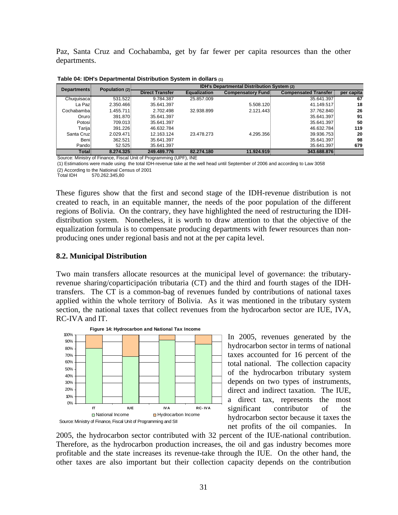Paz, Santa Cruz and Cochabamba, get by far fewer per capita resources than the other departments.

| <b>Departments:</b> | Population (2) - | IDH's Departmental Distribution System (2) |                     |                          |                             |            |  |
|---------------------|------------------|--------------------------------------------|---------------------|--------------------------|-----------------------------|------------|--|
|                     |                  | <b>Direct Transfer</b>                     | <b>Equalization</b> | <b>Compensatory Fund</b> | <b>Compensated Transfer</b> | per capita |  |
| Chuquisaca          | 531.522          | 9.784.387                                  | 25.857.009          |                          | 35.641.397                  | 67         |  |
| La Pazi             | 2.350.466        | 35.641.397                                 |                     | 5.508.120                | 41.149.517                  | 18         |  |
| Cochabamba:         | 1.455.711        | 2.702.498                                  | 32.938.899          | 2.121.443                | 37.762.840                  | 26         |  |
| Oruro:              | 391.870          | 35.641.397                                 |                     |                          | 35.641.397                  | 91         |  |
| Potosi:             | 709.013          | 35.641.397                                 |                     |                          | 35.641.397                  | 50         |  |
| Tarija:             | 391.226          | 46.632.784                                 |                     |                          | 46.632.784                  | 119        |  |
| Santa Cruzi         | 2.029.471        | 12.163.124                                 | 23.478.273          | 4.295.356                | 39.936.753                  | 20         |  |
| <b>Beni</b>         | 362.521          | 35.641.397                                 |                     |                          | 35.641.397                  | 98         |  |
| Pando <sup>1</sup>  | 52.525           | 35.641.397                                 |                     |                          | 35.641.397                  | 679        |  |
| Total               | 8.274.325        | 249.489.776                                | 82.274.180          | 11.924.919               | 343.688.876                 |            |  |

**Table 04: IDH's Departmental Distribution System in dollars (1)**

Source: Ministry of Finance, Fiscal Unit of Programming (UPF), INE

(1) Estimations were made using the total IDH-revenue take at the well head until September of 2006 and according to Law 3058

(2) According to the Natioinal Census of 2001<br>Total IDH 570.262.345,80 570.262.345,80

These figures show that the first and second stage of the IDH-revenue distribution is not created to reach, in an equitable manner, the needs of the poor population of the different regions of Bolivia. On the contrary, they have highlighted the need of restructuring the IDHdistribution system. Nonetheless, it is worth to draw attention to that the objective of the equalization formula is to compensate producing departments with fewer resources than nonproducing ones under regional basis and not at the per capita level.

#### **8.2. Municipal Distribution**

Two main transfers allocate resources at the municipal level of governance: the tributaryrevenue sharing/coparticipación tributaria (CT) and the third and fourth stages of the IDHtransfers. The CT is a common-bag of revenues funded by contributions of national taxes applied within the whole territory of Bolivia. As it was mentioned in the tributary system section, the national taxes that collect revenues from the hydrocarbon sector are IUE, IVA, RC-IVA and IT.



In 2005, revenues generated by the hydrocarbon sector in terms of national taxes accounted for 16 percent of the total national. The collection capacity of the hydrocarbon tributary system depends on two types of instruments, direct and indirect taxation. The IUE, a direct tax, represents the most significant contributor of the hydrocarbon sector because it taxes the net profits of the oil companies. In

2005, the hydrocarbon sector contributed with 32 percent of the IUE-national contribution. Therefore, as the hydrocarbon production increases, the oil and gas industry becomes more profitable and the state increases its revenue-take through the IUE. On the other hand, the other taxes are also important but their collection capacity depends on the contribution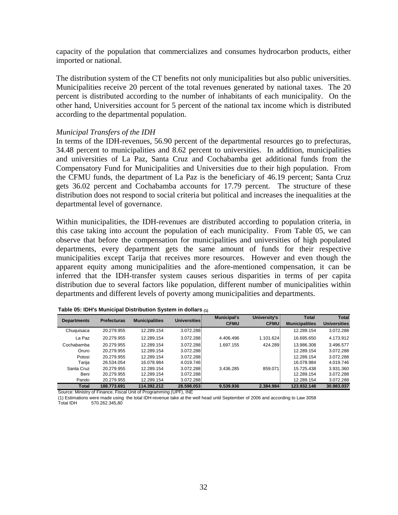capacity of the population that commercializes and consumes hydrocarbon products, either imported or national.

The distribution system of the CT benefits not only municipalities but also public universities. Municipalities receive 20 percent of the total revenues generated by national taxes. The 20 percent is distributed according to the number of inhabitants of each municipality. On the other hand, Universities account for 5 percent of the national tax income which is distributed according to the departmental population.

#### *Municipal Transfers of the IDH*

In terms of the IDH-revenues, 56.90 percent of the departmental resources go to prefecturas, 34.48 percent to municipalities and 8.62 percent to universities. In addition, municipalities and universities of La Paz, Santa Cruz and Cochabamba get additional funds from the Compensatory Fund for Municipalities and Universities due to their high population. From the CFMU funds, the department of La Paz is the beneficiary of 46.19 percent; Santa Cruz gets 36.02 percent and Cochabamba accounts for 17.79 percent. The structure of these distribution does not respond to social criteria but political and increases the inequalities at the departmental level of governance.

Within municipalities, the IDH-revenues are distributed according to population criteria, in this case taking into account the population of each municipality. From Table 05, we can observe that before the compensation for municipalities and universities of high populated departments, every department gets the same amount of funds for their respective municipalities except Tarija that receives more resources. However and even though the apparent equity among municipalities and the afore-mentioned compensation, it can be inferred that the IDH-transfer system causes serious disparities in terms of per capita distribution due to several factors like population, different number of municipalities within departments and different levels of poverty among municipalities and departments.

| <b>Departments</b> | <b>Prefecturas</b> | <b>Municipalities</b> | Universities: | <b>Municipal's</b><br><b>CFMU</b> | University's<br><b>CFMU</b> | <b>Total</b><br><b>Municipalities</b> | <b>Total</b><br><b>Universities</b> |
|--------------------|--------------------|-----------------------|---------------|-----------------------------------|-----------------------------|---------------------------------------|-------------------------------------|
|                    |                    |                       |               |                                   |                             |                                       |                                     |
| Chuquisaca         | 20.279.955         | 12.289.154            | 3.072.288     |                                   |                             | 12.289.154                            | 3.072.288                           |
| La Paz             | 20.279.955         | 12.289.154            | 3.072.288     | 4.406.496                         | 1.101.624                   | 16.695.650                            | 4.173.912                           |
| Cochabamba         | 20.279.955         | 12.289.154            | 3.072.288     | 1.697.155                         | 424.289                     | 13.986.308                            | 3.496.577                           |
| Oruro              | 20.279.955         | 12.289.154            | 3.072.288     |                                   |                             | 12.289.154                            | 3.072.288                           |
| Potosi             | 20.279.955         | 12.289.154            | 3.072.288     |                                   |                             | 12.289.154                            | 3.072.288                           |
| Tariia             | 26.534.054         | 16.078.984            | 4.019.746     |                                   |                             | 16.078.984                            | 4.019.746                           |
| Santa Cruz         | 20.279.955         | 12.289.154            | 3.072.288     | 3.436.285                         | 859.071                     | 15.725.438                            | 3.931.360                           |
| Beni               | 20.279.955         | 12.289.154            | 3.072.288     |                                   |                             | 12.289.154                            | 3.072.288                           |
| Pando              | 20.279.955         | 12.289.154            | 3.072.288     |                                   |                             | 12.289.154                            | 3.072.288                           |
| Total              | 188.773.691        | 114.392.212           | 28.598.053    | 9.539.936                         | 2.384.984                   | 123.932.148                           | 30.983.037                          |

| Table 05: IDH's Municipal Distribution System in dollars (1) |  |  |  |  |
|--------------------------------------------------------------|--|--|--|--|
|--------------------------------------------------------------|--|--|--|--|

Source: Ministry of Finance, Fiscal Unit of Programming (UPF), INE

(1) Estimations were made using the total IDH-revenue take at the well head until September of 2006 and according to Law 3058<br>Total IDH 570 262 345 80 570.262.345.80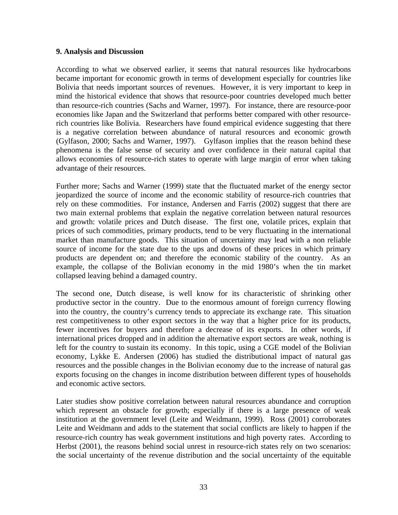#### **9. Analysis and Discussion**

According to what we observed earlier, it seems that natural resources like hydrocarbons became important for economic growth in terms of development especially for countries like Bolivia that needs important sources of revenues. However, it is very important to keep in mind the historical evidence that shows that resource-poor countries developed much better than resource-rich countries (Sachs and Warner, 1997). For instance, there are resource-poor economies like Japan and the Switzerland that performs better compared with other resourcerich countries like Bolivia. Researchers have found empirical evidence suggesting that there is a negative correlation between abundance of natural resources and economic growth (Gylfason, 2000; Sachs and Warner, 1997). Gylfason implies that the reason behind these phenomena is the false sense of security and over confidence in their natural capital that allows economies of resource-rich states to operate with large margin of error when taking advantage of their resources.

Further more; Sachs and Warner (1999) state that the fluctuated market of the energy sector jeopardized the source of income and the economic stability of resource-rich countries that rely on these commodities. For instance, Andersen and Farris (2002) suggest that there are two main external problems that explain the negative correlation between natural resources and growth: volatile prices and Dutch disease. The first one, volatile prices, explain that prices of such commodities, primary products, tend to be very fluctuating in the international market than manufacture goods. This situation of uncertainty may lead with a non reliable source of income for the state due to the ups and downs of these prices in which primary products are dependent on; and therefore the economic stability of the country. As an example, the collapse of the Bolivian economy in the mid 1980's when the tin market collapsed leaving behind a damaged country.

The second one, Dutch disease, is well know for its characteristic of shrinking other productive sector in the country. Due to the enormous amount of foreign currency flowing into the country, the country's currency tends to appreciate its exchange rate. This situation rest competitiveness to other export sectors in the way that a higher price for its products, fewer incentives for buyers and therefore a decrease of its exports. In other words, if international prices dropped and in addition the alternative export sectors are weak, nothing is left for the country to sustain its economy. In this topic, using a CGE model of the Bolivian economy, Lykke E. Andersen (2006) has studied the distributional impact of natural gas resources and the possible changes in the Bolivian economy due to the increase of natural gas exports focusing on the changes in income distribution between different types of households and economic active sectors.

Later studies show positive correlation between natural resources abundance and corruption which represent an obstacle for growth; especially if there is a large presence of weak institution at the government level (Leite and Weidmann, 1999). Ross (2001) corroborates Leite and Weidmann and adds to the statement that social conflicts are likely to happen if the resource-rich country has weak government institutions and high poverty rates. According to Herbst (2001), the reasons behind social unrest in resource-rich states rely on two scenarios: the social uncertainty of the revenue distribution and the social uncertainty of the equitable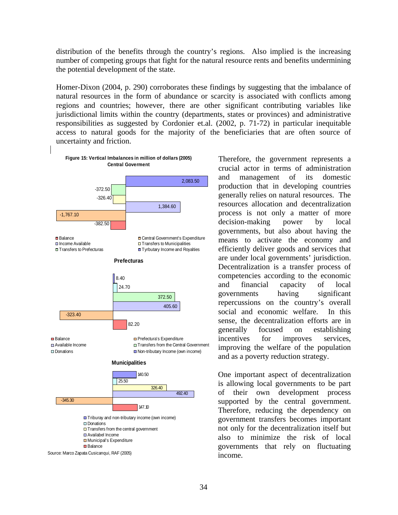distribution of the benefits through the country's regions. Also implied is the increasing number of competing groups that fight for the natural resource rents and benefits undermining the potential development of the state.

Homer-Dixon (2004, p. 290) corroborates these findings by suggesting that the imbalance of natural resources in the form of abundance or scarcity is associated with conflicts among regions and countries; however, there are other significant contributing variables like jurisdictional limits within the country (departments, states or provinces) and administrative responsibilities as suggested by Cordonier et.al. (2002, p. 71-72) in particular inequitable access to natural goods for the majority of the beneficiaries that are often source of uncertainty and friction.



Therefore, the government represents a crucial actor in terms of administration and management of its domestic production that in developing countries generally relies on natural resources. The resources allocation and decentralization process is not only a matter of more decision-making power by local governments, but also about having the means to activate the economy and efficiently deliver goods and services that are under local governments' jurisdiction. Decentralization is a transfer process of competencies according to the economic and financial capacity of local governments having significant repercussions on the country's overall social and economic welfare. In this sense, the decentralization efforts are in generally focused on establishing incentives for improves services, improving the welfare of the population and as a poverty reduction strategy.

One important aspect of decentralization is allowing local governments to be part of their own development process supported by the central government. Therefore, reducing the dependency on government transfers becomes important not only for the decentralization itself but also to minimize the risk of local governments that rely on fluctuating income.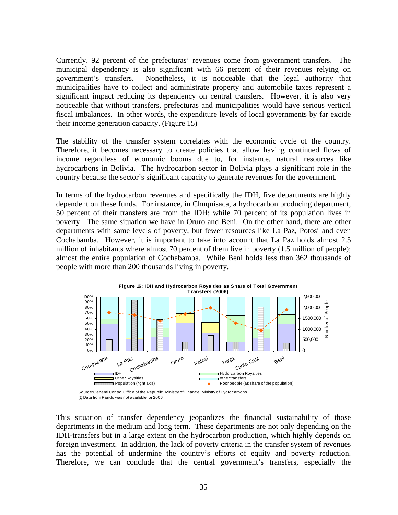Currently, 92 percent of the prefecturas' revenues come from government transfers. The municipal dependency is also significant with 66 percent of their revenues relying on government's transfers. Nonetheless, it is noticeable that the legal authority that municipalities have to collect and administrate property and automobile taxes represent a significant impact reducing its dependency on central transfers. However, it is also very noticeable that without transfers, prefecturas and municipalities would have serious vertical fiscal imbalances. In other words, the expenditure levels of local governments by far excide their income generation capacity. (Figure 15)

The stability of the transfer system correlates with the economic cycle of the country. Therefore, it becomes necessary to create policies that allow having continued flows of income regardless of economic booms due to, for instance, natural resources like hydrocarbons in Bolivia. The hydrocarbon sector in Bolivia plays a significant role in the country because the sector's significant capacity to generate revenues for the government.

In terms of the hydrocarbon revenues and specifically the IDH, five departments are highly dependent on these funds. For instance, in Chuquisaca, a hydrocarbon producing department, 50 percent of their transfers are from the IDH; while 70 percent of its population lives in poverty. The same situation we have in Oruro and Beni. On the other hand, there are other departments with same levels of poverty, but fewer resources like La Paz, Potosi and even Cochabamba. However, it is important to take into account that La Paz holds almost 2.5 million of inhabitants where almost 70 percent of them live in poverty (1.5 million of people); almost the entire population of Cochabamba. While Beni holds less than 362 thousands of people with more than 200 thousands living in poverty.



<sup>(1)</sup> Data from Pando was not available for 2006

This situation of transfer dependency jeopardizes the financial sustainability of those departments in the medium and long term. These departments are not only depending on the IDH-transfers but in a large extent on the hydrocarbon production, which highly depends on foreign investment. In addition, the lack of poverty criteria in the transfer system of revenues has the potential of undermine the country's efforts of equity and poverty reduction.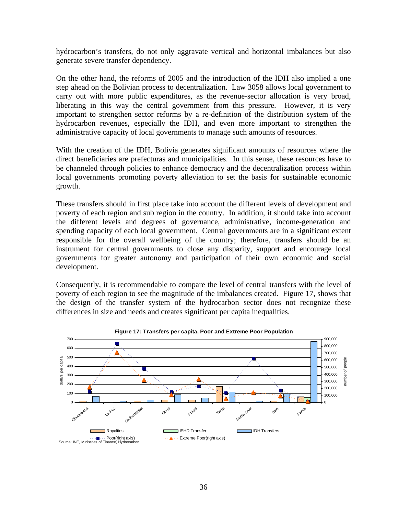hydrocarbon's transfers, do not only aggravate vertical and horizontal imbalances but also generate severe transfer dependency.

On the other hand, the reforms of 2005 and the introduction of the IDH also implied a one step ahead on the Bolivian process to decentralization. Law 3058 allows local government to carry out with more public expenditures, as the revenue-sector allocation is very broad, liberating in this way the central government from this pressure. However, it is very important to strengthen sector reforms by a re-definition of the distribution system of the hydrocarbon revenues, especially the IDH, and even more important to strengthen the administrative capacity of local governments to manage such amounts of resources.

With the creation of the IDH, Bolivia generates significant amounts of resources where the direct beneficiaries are prefecturas and municipalities. In this sense, these resources have to be channeled through policies to enhance democracy and the decentralization process within local governments promoting poverty alleviation to set the basis for sustainable economic growth.

These transfers should in first place take into account the different levels of development and poverty of each region and sub region in the country. In addition, it should take into account the different levels and degrees of governance, administrative, income-generation and spending capacity of each local government. Central governments are in a significant extent responsible for the overall wellbeing of the country; therefore, transfers should be an instrument for central governments to close any disparity, support and encourage local governments for greater autonomy and participation of their own economic and social development.

Consequently, it is recommendable to compare the level of central transfers with the level of poverty of each region to see the magnitude of the imbalances created. Figure 17, shows that the design of the transfer system of the hydrocarbon sector does not recognize these differences in size and needs and creates significant per capita inequalities.

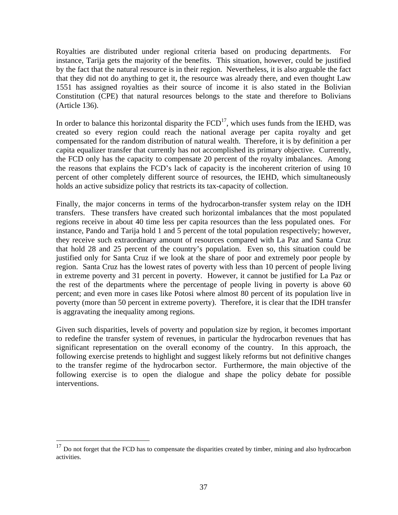Royalties are distributed under regional criteria based on producing departments. For instance, Tarija gets the majority of the benefits. This situation, however, could be justified by the fact that the natural resource is in their region. Nevertheless, it is also arguable the fact that they did not do anything to get it, the resource was already there, and even thought Law 1551 has assigned royalties as their source of income it is also stated in the Bolivian Constitution (CPE) that natural resources belongs to the state and therefore to Bolivians (Article 136).

In order to balance this horizontal disparity the  $FCD<sup>17</sup>$ , which uses funds from the IEHD, was created so every region could reach the national average per capita royalty and get compensated for the random distribution of natural wealth. Therefore, it is by definition a per capita equalizer transfer that currently has not accomplished its primary objective. Currently, the FCD only has the capacity to compensate 20 percent of the royalty imbalances. Among the reasons that explains the FCD's lack of capacity is the incoherent criterion of using 10 percent of other completely different source of resources, the IEHD, which simultaneously holds an active subsidize policy that restricts its tax-capacity of collection.

Finally, the major concerns in terms of the hydrocarbon-transfer system relay on the IDH transfers. These transfers have created such horizontal imbalances that the most populated regions receive in about 40 time less per capita resources than the less populated ones. For instance, Pando and Tarija hold 1 and 5 percent of the total population respectively; however, they receive such extraordinary amount of resources compared with La Paz and Santa Cruz that hold 28 and 25 percent of the country's population. Even so, this situation could be justified only for Santa Cruz if we look at the share of poor and extremely poor people by region. Santa Cruz has the lowest rates of poverty with less than 10 percent of people living in extreme poverty and 31 percent in poverty. However, it cannot be justified for La Paz or the rest of the departments where the percentage of people living in poverty is above 60 percent; and even more in cases like Potosi where almost 80 percent of its population live in poverty (more than 50 percent in extreme poverty). Therefore, it is clear that the IDH transfer is aggravating the inequality among regions.

Given such disparities, levels of poverty and population size by region, it becomes important to redefine the transfer system of revenues, in particular the hydrocarbon revenues that has significant representation on the overall economy of the country. In this approach, the following exercise pretends to highlight and suggest likely reforms but not definitive changes to the transfer regime of the hydrocarbon sector. Furthermore, the main objective of the following exercise is to open the dialogue and shape the policy debate for possible interventions.

 $\overline{a}$ 

 $17$  Do not forget that the FCD has to compensate the disparities created by timber, mining and also hydrocarbon activities.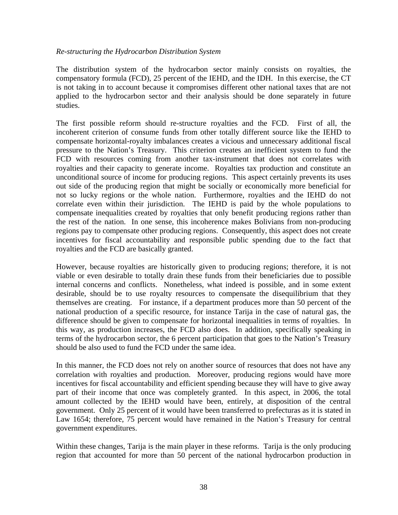#### *Re-structuring the Hydrocarbon Distribution System*

The distribution system of the hydrocarbon sector mainly consists on royalties, the compensatory formula (FCD), 25 percent of the IEHD, and the IDH. In this exercise, the CT is not taking in to account because it compromises different other national taxes that are not applied to the hydrocarbon sector and their analysis should be done separately in future studies.

The first possible reform should re-structure royalties and the FCD. First of all, the incoherent criterion of consume funds from other totally different source like the IEHD to compensate horizontal-royalty imbalances creates a vicious and unnecessary additional fiscal pressure to the Nation's Treasury. This criterion creates an inefficient system to fund the FCD with resources coming from another tax-instrument that does not correlates with royalties and their capacity to generate income. Royalties tax production and constitute an unconditional source of income for producing regions. This aspect certainly prevents its uses out side of the producing region that might be socially or economically more beneficial for not so lucky regions or the whole nation. Furthermore, royalties and the IEHD do not correlate even within their jurisdiction. The IEHD is paid by the whole populations to compensate inequalities created by royalties that only benefit producing regions rather than the rest of the nation. In one sense, this incoherence makes Bolivians from non-producing regions pay to compensate other producing regions. Consequently, this aspect does not create incentives for fiscal accountability and responsible public spending due to the fact that royalties and the FCD are basically granted.

However, because royalties are historically given to producing regions; therefore, it is not viable or even desirable to totally drain these funds from their beneficiaries due to possible internal concerns and conflicts. Nonetheless, what indeed is possible, and in some extent desirable, should be to use royalty resources to compensate the disequilibrium that they themselves are creating. For instance, if a department produces more than 50 percent of the national production of a specific resource, for instance Tarija in the case of natural gas, the difference should be given to compensate for horizontal inequalities in terms of royalties. In this way, as production increases, the FCD also does. In addition, specifically speaking in terms of the hydrocarbon sector, the 6 percent participation that goes to the Nation's Treasury should be also used to fund the FCD under the same idea.

In this manner, the FCD does not rely on another source of resources that does not have any correlation with royalties and production. Moreover, producing regions would have more incentives for fiscal accountability and efficient spending because they will have to give away part of their income that once was completely granted. In this aspect, in 2006, the total amount collected by the IEHD would have been, entirely, at disposition of the central government. Only 25 percent of it would have been transferred to prefecturas as it is stated in Law 1654; therefore, 75 percent would have remained in the Nation's Treasury for central government expenditures.

Within these changes, Tarija is the main player in these reforms. Tarija is the only producing region that accounted for more than 50 percent of the national hydrocarbon production in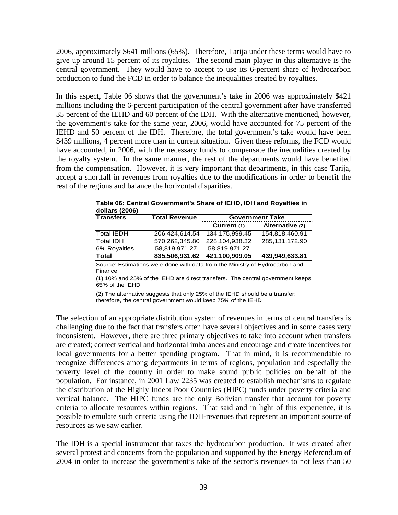2006, approximately \$641 millions (65%). Therefore, Tarija under these terms would have to give up around 15 percent of its royalties. The second main player in this alternative is the central government. They would have to accept to use its 6-percent share of hydrocarbon production to fund the FCD in order to balance the inequalities created by royalties.

In this aspect, Table 06 shows that the government's take in 2006 was approximately \$421 millions including the 6-percent participation of the central government after have transferred 35 percent of the IEHD and 60 percent of the IDH. With the alternative mentioned, however, the government's take for the same year, 2006, would have accounted for 75 percent of the IEHD and 50 percent of the IDH. Therefore, the total government's take would have been \$439 millions, 4 percent more than in current situation. Given these reforms, the FCD would have accounted, in 2006, with the necessary funds to compensate the inequalities created by the royalty system. In the same manner, the rest of the departments would have benefited from the compensation. However, it is very important that departments, in this case Tarija, accept a shortfall in revenues from royalties due to the modifications in order to benefit the rest of the regions and balance the horizontal disparities.

| <b>Transfers</b>  | <b>Total Revenue</b> | <b>Government Take</b> |                 |  |
|-------------------|----------------------|------------------------|-----------------|--|
|                   |                      | Current (1)            | Alternative (2) |  |
| <b>Total IEDH</b> | 206.424.614.54       | 134.175.999.45         | 154.818.460.91  |  |
| <b>Total IDH</b>  | 570.262.345.80       | 228.104.938.32         | 285.131.172.90  |  |
| 6% Royalties      | 58.819.971.27        | 58.819.971.27          |                 |  |
| Total             | 835,506,931.62       | 421,100,909.05         | 439,949,633.81  |  |

**Table 06: Central Government's Share of IEHD, IDH and Royalties in dollars (2006)**

Source: Estimations were done with data from the Ministry of Hydrocarbon and Finance

(1) 10% and 25% of the IEHD are direct transfers. The central government keeps 65% of the IEHD

(2) The alternative suggests that only 25% of the IEHD should be a transfer; therefore, the central government would keep 75% of the IEHD

The selection of an appropriate distribution system of revenues in terms of central transfers is challenging due to the fact that transfers often have several objectives and in some cases very inconsistent. However, there are three primary objectives to take into account when transfers are created; correct vertical and horizontal imbalances and encourage and create incentives for local governments for a better spending program. That in mind, it is recommendable to recognize differences among departments in terms of regions, population and especially the poverty level of the country in order to make sound public policies on behalf of the population. For instance, in 2001 Law 2235 was created to establish mechanisms to regulate the distribution of the Highly Indebt Poor Countries (HIPC) funds under poverty criteria and vertical balance. The HIPC funds are the only Bolivian transfer that account for poverty criteria to allocate resources within regions. That said and in light of this experience, it is possible to emulate such criteria using the IDH-revenues that represent an important source of resources as we saw earlier.

The IDH is a special instrument that taxes the hydrocarbon production. It was created after several protest and concerns from the population and supported by the Energy Referendum of 2004 in order to increase the government's take of the sector's revenues to not less than 50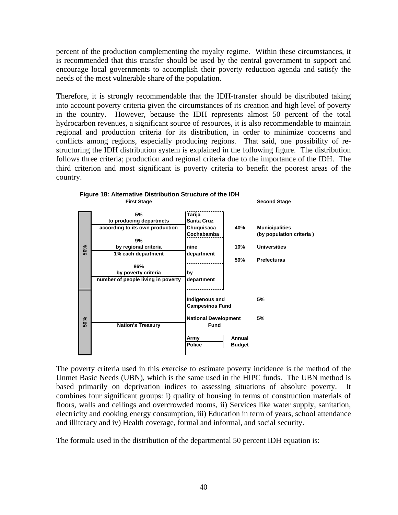percent of the production complementing the royalty regime. Within these circumstances, it is recommended that this transfer should be used by the central government to support and encourage local governments to accomplish their poverty reduction agenda and satisfy the needs of the most vulnerable share of the population.

Therefore, it is strongly recommendable that the IDH-transfer should be distributed taking into account poverty criteria given the circumstances of its creation and high level of poverty in the country. However, because the IDH represents almost 50 percent of the total hydrocarbon revenues, a significant source of resources, it is also recommendable to maintain regional and production criteria for its distribution, in order to minimize concerns and conflicts among regions, especially producing regions. That said, one possibility of restructuring the IDH distribution system is explained in the following figure. The distribution follows three criteria; production and regional criteria due to the importance of the IDH. The third criterion and most significant is poverty criteria to benefit the poorest areas of the country.



**Figure 18: Alternative Distribution Structure of the IDH**

The poverty criteria used in this exercise to estimate poverty incidence is the method of the Unmet Basic Needs (UBN), which is the same used in the HIPC funds. The UBN method is based primarily on deprivation indices to assessing situations of absolute poverty. It combines four significant groups: i) quality of housing in terms of construction materials of floors, walls and ceilings and overcrowded rooms, ii) Services like water supply, sanitation, electricity and cooking energy consumption, iii) Education in term of years, school attendance and illiteracy and iv) Health coverage, formal and informal, and social security.

The formula used in the distribution of the departmental 50 percent IDH equation is: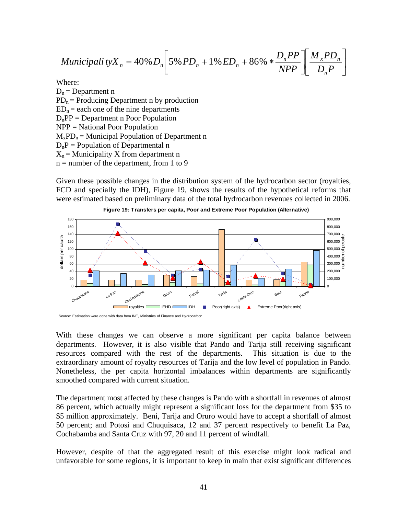$$
Municipali\,tyX_{n} = 40\% D_{n} \bigg[ 5\% PD_{n} + 1\% ED_{n} + 86\% * \frac{D_{n} PP}{NPP} \bigg] \bigg[ \frac{M_{x} PD_{n}}{D_{n} P} \bigg]
$$

Where:

 $D_n = Department$  n  $PD_n =$  Producing Department n by production  $ED_n =$  each one of the nine departments  $D_nPP = Department n Poor Population$ NPP = National Poor Population  $M_xPD_n =$  Municipal Population of Department n  $D_nP =$  Population of Departmental n  $X_n$  = Municipality X from department n  $n =$  number of the department, from 1 to 9

Given these possible changes in the distribution system of the hydrocarbon sector (royalties, FCD and specially the IDH), Figure 19, shows the results of the hypothetical reforms that were estimated based on preliminary data of the total hydrocarbon revenues collected in 2006.





With these changes we can observe a more significant per capita balance between departments. However, it is also visible that Pando and Tarija still receiving significant resources compared with the rest of the departments. This situation is due to the extraordinary amount of royalty resources of Tarija and the low level of population in Pando. Nonetheless, the per capita horizontal imbalances within departments are significantly smoothed compared with current situation.

The department most affected by these changes is Pando with a shortfall in revenues of almost 86 percent, which actually might represent a significant loss for the department from \$35 to \$5 million approximately. Beni, Tarija and Oruro would have to accept a shortfall of almost 50 percent; and Potosi and Chuquisaca, 12 and 37 percent respectively to benefit La Paz, Cochabamba and Santa Cruz with 97, 20 and 11 percent of windfall.

However, despite of that the aggregated result of this exercise might look radical and unfavorable for some regions, it is important to keep in main that exist significant differences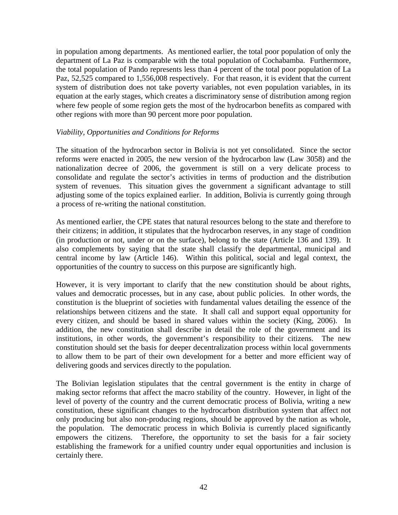in population among departments. As mentioned earlier, the total poor population of only the department of La Paz is comparable with the total population of Cochabamba. Furthermore, the total population of Pando represents less than 4 percent of the total poor population of La Paz, 52,525 compared to 1,556,008 respectively. For that reason, it is evident that the current system of distribution does not take poverty variables, not even population variables, in its equation at the early stages, which creates a discriminatory sense of distribution among region where few people of some region gets the most of the hydrocarbon benefits as compared with other regions with more than 90 percent more poor population.

#### *Viability, Opportunities and Conditions for Reforms*

The situation of the hydrocarbon sector in Bolivia is not yet consolidated. Since the sector reforms were enacted in 2005, the new version of the hydrocarbon law (Law 3058) and the nationalization decree of 2006, the government is still on a very delicate process to consolidate and regulate the sector's activities in terms of production and the distribution system of revenues. This situation gives the government a significant advantage to still adjusting some of the topics explained earlier. In addition, Bolivia is currently going through a process of re-writing the national constitution.

As mentioned earlier, the CPE states that natural resources belong to the state and therefore to their citizens; in addition, it stipulates that the hydrocarbon reserves, in any stage of condition (in production or not, under or on the surface), belong to the state (Article 136 and 139). It also complements by saying that the state shall classify the departmental, municipal and central income by law (Article 146). Within this political, social and legal context, the opportunities of the country to success on this purpose are significantly high.

However, it is very important to clarify that the new constitution should be about rights, values and democratic processes, but in any case, about public policies. In other words, the constitution is the blueprint of societies with fundamental values detailing the essence of the relationships between citizens and the state. It shall call and support equal opportunity for every citizen, and should be based in shared values within the society (King, 2006). In addition, the new constitution shall describe in detail the role of the government and its institutions, in other words, the government's responsibility to their citizens. The new constitution should set the basis for deeper decentralization process within local governments to allow them to be part of their own development for a better and more efficient way of delivering goods and services directly to the population.

The Bolivian legislation stipulates that the central government is the entity in charge of making sector reforms that affect the macro stability of the country. However, in light of the level of poverty of the country and the current democratic process of Bolivia, writing a new constitution, these significant changes to the hydrocarbon distribution system that affect not only producing but also non-producing regions, should be approved by the nation as whole, the population. The democratic process in which Bolivia is currently placed significantly empowers the citizens. Therefore, the opportunity to set the basis for a fair society establishing the framework for a unified country under equal opportunities and inclusion is certainly there.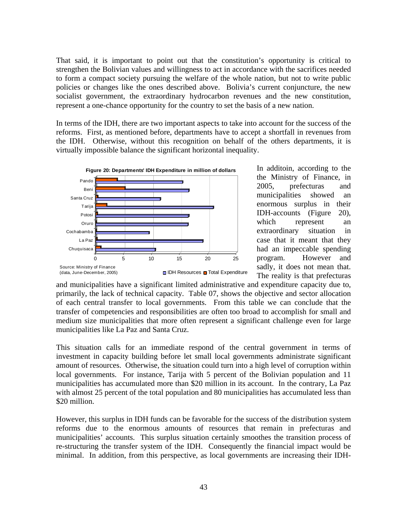That said, it is important to point out that the constitution's opportunity is critical to strengthen the Bolivian values and willingness to act in accordance with the sacrifices needed to form a compact society pursuing the welfare of the whole nation, but not to write public policies or changes like the ones described above. Bolivia's current conjuncture, the new socialist government, the extraordinary hydrocarbon revenues and the new constitution, represent a one-chance opportunity for the country to set the basis of a new nation.

In terms of the IDH, there are two important aspects to take into account for the success of the reforms. First, as mentioned before, departments have to accept a shortfall in revenues from the IDH. Otherwise, without this recognition on behalf of the others departments, it is virtually impossible balance the significant horizontal inequality.



In additoin, according to the the Ministry of Finance, in 2005, prefecturas and municipalities showed an enormous surplus in their IDH-accounts (Figure 20), which represent an extraordinary situation in case that it meant that they had an impeccable spending program. However and sadly, it does not mean that. The reality is that prefecturas

and municipalities have a significant limited administrative and expenditure capacity due to, primarily, the lack of technical capacity. Table 07, shows the objective and sector allocation of each central transfer to local governments. From this table we can conclude that the transfer of competencies and responsibilities are often too broad to accomplish for small and medium size municipalities that more often represent a significant challenge even for large municipalities like La Paz and Santa Cruz.

This situation calls for an immediate respond of the central government in terms of investment in capacity building before let small local governments administrate significant amount of resources. Otherwise, the situation could turn into a high level of corruption within local governments. For instance, Tarija with 5 percent of the Bolivian population and 11 municipalities has accumulated more than \$20 million in its account. In the contrary, La Paz with almost 25 percent of the total population and 80 municipalities has accumulated less than \$20 million.

However, this surplus in IDH funds can be favorable for the success of the distribution system reforms due to the enormous amounts of resources that remain in prefecturas and municipalities' accounts. This surplus situation certainly smoothes the transition process of re-structuring the transfer system of the IDH. Consequently the financial impact would be minimal. In addition, from this perspective, as local governments are increasing their IDH-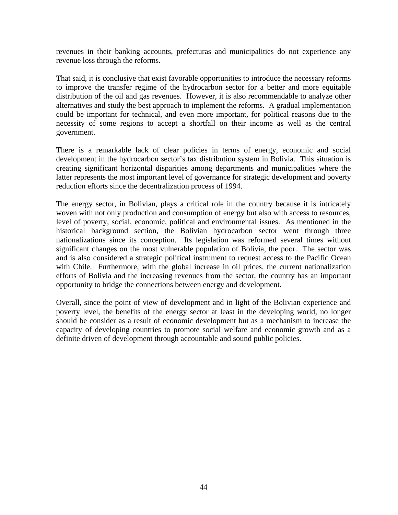revenues in their banking accounts, prefecturas and municipalities do not experience any revenue loss through the reforms.

That said, it is conclusive that exist favorable opportunities to introduce the necessary reforms to improve the transfer regime of the hydrocarbon sector for a better and more equitable distribution of the oil and gas revenues. However, it is also recommendable to analyze other alternatives and study the best approach to implement the reforms. A gradual implementation could be important for technical, and even more important, for political reasons due to the necessity of some regions to accept a shortfall on their income as well as the central government.

There is a remarkable lack of clear policies in terms of energy, economic and social development in the hydrocarbon sector's tax distribution system in Bolivia. This situation is creating significant horizontal disparities among departments and municipalities where the latter represents the most important level of governance for strategic development and poverty reduction efforts since the decentralization process of 1994.

The energy sector, in Bolivian, plays a critical role in the country because it is intricately woven with not only production and consumption of energy but also with access to resources, level of poverty, social, economic, political and environmental issues. As mentioned in the historical background section, the Bolivian hydrocarbon sector went through three nationalizations since its conception. Its legislation was reformed several times without significant changes on the most vulnerable population of Bolivia, the poor. The sector was and is also considered a strategic political instrument to request access to the Pacific Ocean with Chile. Furthermore, with the global increase in oil prices, the current nationalization efforts of Bolivia and the increasing revenues from the sector, the country has an important opportunity to bridge the connections between energy and development.

Overall, since the point of view of development and in light of the Bolivian experience and poverty level, the benefits of the energy sector at least in the developing world, no longer should be consider as a result of economic development but as a mechanism to increase the capacity of developing countries to promote social welfare and economic growth and as a definite driven of development through accountable and sound public policies.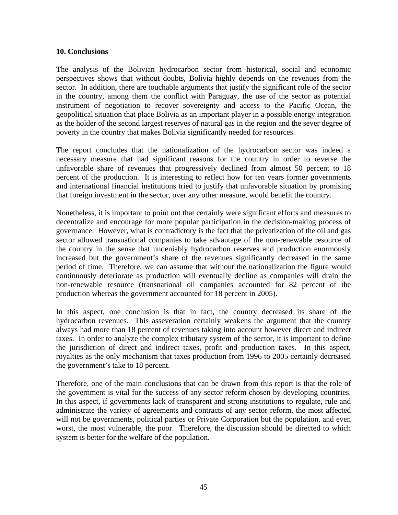#### **10. Conclusions**

The analysis of the Bolivian hydrocarbon sector from historical, social and economic perspectives shows that without doubts, Bolivia highly depends on the revenues from the sector. In addition, there are touchable arguments that justify the significant role of the sector in the country, among them the conflict with Paraguay, the use of the sector as potential instrument of negotiation to recover sovereignty and access to the Pacific Ocean, the geopolitical situation that place Bolivia as an important player in a possible energy integration as the holder of the second largest reserves of natural gas in the region and the sever degree of poverty in the country that makes Bolivia significantly needed for resources.

The report concludes that the nationalization of the hydrocarbon sector was indeed a necessary measure that had significant reasons for the country in order to reverse the unfavorable share of revenues that progressively declined from almost 50 percent to 18 percent of the production. It is interesting to reflect how for ten years former governments and international financial institutions tried to justify that unfavorable situation by promising that foreign investment in the sector, over any other measure, would benefit the country.

Nonetheless, it is important to point out that certainly were significant efforts and measures to decentralize and encourage for more popular participation in the decision-making process of governance. However, what is contradictory is the fact that the privatization of the oil and gas sector allowed transnational companies to take advantage of the non-renewable resource of the country in the sense that undeniably hydrocarbon reserves and production enormously increased but the government's share of the revenues significantly decreased in the same period of time. Therefore, we can assume that without the nationalization the figure would continuously deteriorate as production will eventually decline as companies will drain the non-renewable resource (transnational oil companies accounted for 82 percent of the production whereas the government accounted for 18 percent in 2005).

In this aspect, one conclusion is that in fact, the country decreased its share of the hydrocarbon revenues. This asseveration certainly weakens the argument that the country always had more than 18 percent of revenues taking into account however direct and indirect taxes. In order to analyze the complex tributary system of the sector, it is important to define the jurisdiction of direct and indirect taxes, profit and production taxes. In this aspect, royalties as the only mechanism that taxes production from 1996 to 2005 certainly decreased the government's take to 18 percent.

Therefore, one of the main conclusions that can be drawn from this report is that the role of the government is vital for the success of any sector reform chosen by developing countries. In this aspect, if governments lack of transparent and strong institutions to regulate, rule and administrate the variety of agreements and contracts of any sector reform, the most affected will not be governments, political parties or Private Corporation but the population, and even worst, the most vulnerable, the poor. Therefore, the discussion should be directed to which system is better for the welfare of the population.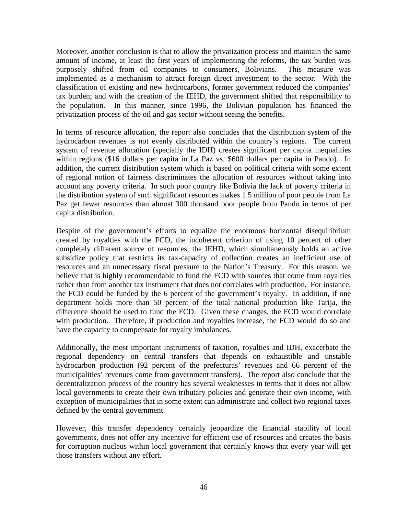Moreover, another conclusion is that to allow the privatization process and maintain the same amount of income, at least the first years of implementing the reforms, the tax burden was purposely shifted from oil companies to consumers, Bolivians. This measure was implemented as a mechanism to attract foreign direct investment to the sector. With the classification of existing and new hydrocarbons, former government reduced the companies' tax burden; and with the creation of the IEHD, the government shifted that responsibility to the population. In this manner, since 1996, the Bolivian population has financed the privatization process of the oil and gas sector without seeing the benefits.

In terms of resource allocation, the report also concludes that the distribution system of the hydrocarbon revenues is not evenly distributed within the country's regions. The current system of revenue allocation (specially the IDH) creates significant per capita inequalities within regions (\$16 dollars per capita in La Paz vs. \$600 dollars per capita in Pando). In addition, the current distribution system which is based on political criteria with some extent of regional notion of fairness discriminates the allocation of resources without taking into account any poverty criteria. In such poor country like Bolivia the lack of poverty criteria in the distribution system of such significant resources makes 1.5 million of poor people from La Paz get fewer resources than almost 300 thousand poor people from Pando in terms of per capita distribution.

Despite of the government's efforts to equalize the enormous horizontal disequilibrium created by royalties with the FCD, the incoherent criterion of using 10 percent of other completely different source of resources, the IEHD, which simultaneously holds an active subsidize policy that restricts its tax-capacity of collection creates an inefficient use of resources and an unnecessary fiscal pressure to the Nation's Treasury. For this reason, we believe that is highly recommendable to fund the FCD with sources that come from royalties rather than from another tax instrument that does not correlates with production. For instance, the FCD could be funded by the 6 percent of the government's royalty. In addition, if one department holds more than 50 percent of the total national production like Tarija, the difference should be used to fund the FCD. Given these changes, the FCD would correlate with production. Therefore, if production and royalties increase, the FCD would do so and have the capacity to compensate for royalty imbalances.

Additionally, the most important instruments of taxation, royalties and IDH, exacerbate the regional dependency on central transfers that depends on exhaustible and unstable hydrocarbon production (92 percent of the prefecturas' revenues and 66 percent of the municipalities' revenues come from government transfers). The report also conclude that the decentralization process of the country has several weaknesses in terms that it does not allow local governments to create their own tributary policies and generate their own income, with exception of municipalities that in some extent can administrate and collect two regional taxes defined by the central government.

However, this transfer dependency certainly jeopardize the financial stability of local governments, does not offer any incentive for efficient use of resources and creates the basis for corruption nucleus within local government that certainly knows that every year will get those transfers without any effort.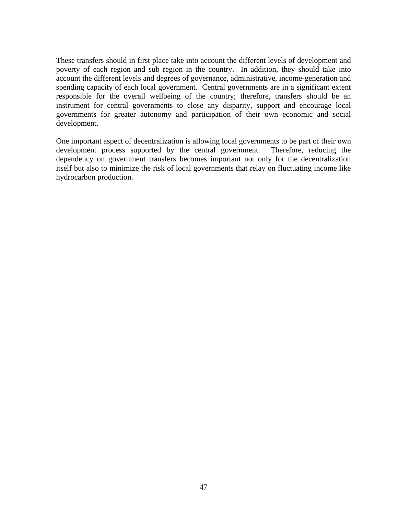These transfers should in first place take into account the different levels of development and poverty of each region and sub region in the country. In addition, they should take into account the different levels and degrees of governance, administrative, income-generation and spending capacity of each local government. Central governments are in a significant extent responsible for the overall wellbeing of the country; therefore, transfers should be an instrument for central governments to close any disparity, support and encourage local governments for greater autonomy and participation of their own economic and social development.

One important aspect of decentralization is allowing local governments to be part of their own development process supported by the central government. Therefore, reducing the dependency on government transfers becomes important not only for the decentralization itself but also to minimize the risk of local governments that relay on fluctuating income like hydrocarbon production.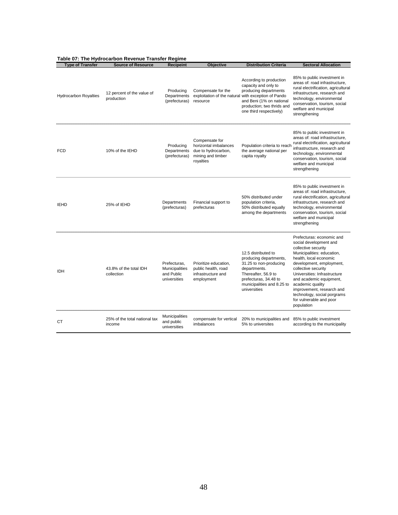|                              | Table 07: The Hydrocarbon Revenue Transfer Regime |                                                                                                      |                                                                                                  |                                                                                                                                                                                       |                                                                                                                                                                                                                                                                                                                                                                           |  |  |
|------------------------------|---------------------------------------------------|------------------------------------------------------------------------------------------------------|--------------------------------------------------------------------------------------------------|---------------------------------------------------------------------------------------------------------------------------------------------------------------------------------------|---------------------------------------------------------------------------------------------------------------------------------------------------------------------------------------------------------------------------------------------------------------------------------------------------------------------------------------------------------------------------|--|--|
| <b>Type of Transfer</b>      | <b>Source of Resource</b>                         | <b>Recipeint</b>                                                                                     | Objective                                                                                        | <b>Distribution Criteria</b>                                                                                                                                                          | <b>Sectoral Allocation</b>                                                                                                                                                                                                                                                                                                                                                |  |  |
| <b>Hydrocarbon Royalties</b> | 12 percent of the value of<br>production          | Producing<br>Departments<br>(prefecturas)                                                            | Compensate for the<br>exploitation of the natural with exception of Pando<br>resource            | According to production<br>capacity and only to<br>producing departments<br>and Beni (1% on national<br>production; two thrids and<br>one third respectively)                         | 85% to public investment in<br>areas of: road infrastructure,<br>rural electrification, agricultural<br>infrastructure, research and<br>technology, environmental<br>conservation, tourism, social<br>welfare and municipal<br>strengthening                                                                                                                              |  |  |
| <b>FCD</b>                   | 10% of the IEHD                                   | Producing<br>Departments<br>(prefecturas)                                                            | Compensate for<br>horizontal imbalances<br>due to hydrocarbon,<br>mining and timber<br>royalties | Population criteria to reach<br>the average national per<br>capita royalty                                                                                                            | 85% to public investment in<br>areas of: road infrastructure.<br>rural electrification, agricultural<br>infrastructure, research and<br>technology, environmental<br>conservation, tourism, social<br>welfare and municipal<br>strengthening                                                                                                                              |  |  |
| <b>IEHD</b>                  | 25% of IEHD                                       | Departments<br>(prefecturas)                                                                         | Financial support to<br>prefecturas                                                              | 50% distributed under<br>population criteria,<br>50% distributed equally<br>among the departments                                                                                     | 85% to public investment in<br>areas of: road infrastructure,<br>rural electrification, agricultural<br>infrastructure, research and<br>technology, environmental<br>conservation, tourism, social<br>welfare and municipal<br>strengthening                                                                                                                              |  |  |
| <b>IDH</b>                   | 43.8% of the total IDH<br>collection              | Prefecturas,<br>Municipalities<br>and Public<br>universities<br>,,,,,,,,,,,,,,,,,,,,,,,,,,,,,,,,,,,, | Prioritize education,<br>public health, road<br>infrastructure and<br>employment                 | 12.5 distributed to<br>producing departments,<br>31.25 to non-producing<br>departments.<br>Thereafter, 56.9 to<br>prefecturas, 34.48 to<br>municipalities and 8.25 to<br>universities | Prefecturas: economic and<br>social development and<br>collective security<br>Municipalities: education,<br>health, local economic<br>development, employment,<br>collective security<br>Universities: Infrastructure<br>and academic equipment,<br>academic quality<br>improvement, research and<br>technology, social porgrams<br>for vulnerable and poor<br>population |  |  |
| <b>CT</b>                    | 25% of the total national tax<br>income           | <b>Municipalities</b><br>and public<br>universities                                                  | compensate for vertical<br>imbalances                                                            | 20% to municipalities and<br>5% to universites                                                                                                                                        | 85% to public investment<br>according to the municipality                                                                                                                                                                                                                                                                                                                 |  |  |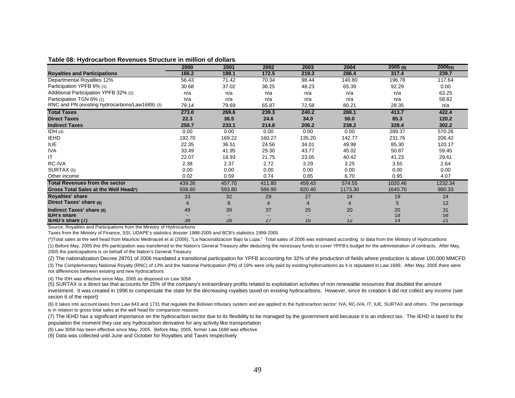| Table 08: Hydrocarbon Revenues Structure in million of dollars |  |  |
|----------------------------------------------------------------|--|--|
|----------------------------------------------------------------|--|--|

|                                                | 2000   | 2001   | 2002   | 2003   | 2004             | 2005(8) | 2006(9) |
|------------------------------------------------|--------|--------|--------|--------|------------------|---------|---------|
| <b>Royalties and Participations</b>            | 166.2  | 188.1  | 172.5  | 219.3  | 286.4            | 317.4   | 239.7   |
| Departmental Royalties 12%                     | 56.43  | 71.42  | 70.34  | 98.44  | 140.80           | 196.78  | 117.64  |
| Participation YPFB 6% (1)                      | 30.68  | 37.02  | 36.25  | 48.23  | 65.39            | 92.29   | 0.00    |
| Additional Participation YPFB 32% (2)          | n/a    | n/a    | n/a    | n/a    | n/a              | n/a     | 63.25   |
| Participation TGN 6% (1)                       | n/a    | n/a    | n/a    | n/a    | n/a              | n/a     | 58.82   |
| RNC and PN (existing hydrocarbons/Law1689) (3) | 79.14  | 79.69  | 65.87  | 72.58  | 80.21            | 28.35   | n/a     |
| <b>Total Taxes</b>                             | 273.0  | 269.6  | 239.3  | 240.2  | 288.1            | 413.7   | 422.4   |
| <b>Direct Taxes</b>                            | 22.3   | 36.5   | 24.6   | 34.0   | 50.0             | 85.3    | 120.2   |
| <b>Indirect Taxes</b>                          | 250.7  | 233.1  | 214.8  | 206.2  | 238.2            | 328.4   | 302.2   |
| IDH(4)                                         | 0.00   | 0.00   | 0.00   | 0.00   | 0.00             | 289.37  | 570.26  |
| <b>IEHD</b>                                    | 192.70 | 169.22 | 160.27 | 135.20 | 142.77           | 231.76  | 206.42  |
| <b>IUE</b>                                     | 22.35  | 36.51  | 24.56  | 34.01  | 49.98            | 85.30   | 120.17  |
| <b>IVA</b>                                     | 33.49  | 41.95  | 29.30  | 43.77  | 45.02            | 50.87   | 59.45   |
| ΙT                                             | 22.07  | 18.93  | 21.75  | 23.05  | 40.42            | 41.23   | 29.61   |
| RC-IVA                                         | 2.38   | 2.37   | 2.72   | 3.29   | 3.25             | 3.55    | 2.64    |
| SURTAX (5)                                     | 0.00   | 0.00   | 0.00   | 0.00   | 0.00             | 0.00    | 0.00    |
| Other income                                   | 0.02   | 0.59   | 0.74   | 0.85   | 6.70             | 0.95    | 4.07    |
| <b>Total Revenues from the sector</b>          | 439.26 | 457.70 | 411.80 | 459.43 | 574.55           | 1020.46 | 1232.34 |
| Gross Total Sales at the Well Head(*)          | 508.60 | 593.80 | 586.90 | 820.40 | 1173.30          | 1640.70 | 980.33  |
| <b>Royalties' share</b>                        | 33     | 32     | 29     | 27     | 24               | 19      | 24      |
| Direct Taxes' share (6)                        |        | 6      | 4      | 4      | $\boldsymbol{4}$ | 5       | 12      |
| Indirect Taxes' share (6)                      | 49     | 39     | 37     | 25     | 20               | 20      | 31      |
| <b>IDH's share</b>                             |        |        |        |        |                  | 18      | 58      |
| IEHD's share (7)                               | 38     | 28     | 27     | 16     | 12               | 14      | 21      |

Source: Royalties and Participations from the Ministry of Hydrocarbons

Taxes from the Ministry of Finance, SSI, UDAPE's statistics dossier 1988-2005 and BCB's statistics 1999-2005

(\*)Total sales at the well head from Mauricio Medinaceli et al (2006). "La Nacionalizacion Bajo la Lupa." Total sales of 2006 was estimated according to data from the Ministry of Hydrocarbons

(1) Before May, 2005 this 6% participation was transferred to the Nation's General Treasury after deducting the necessary funds to cover YPFB's budget for the administration of contracts. After May, 2005 the particapations is on behalf of the Nation's General Treasury

(2) The nationalization Decree 28701 of 2006 mandated a transitional participation for YPFB accounting for 32% of the production of fields where production is above 100,000 MMCFD (3) The Complementary National Royalty (RNC) of 13% and the National Participation (PN) of 19% were only paid by existing hydorcarbons as it is stipulated in Law 1689. After May, 2005 there were not differences between existing and new hydrocarbons

(4) The IDH was effective since May, 2005 as disposed on Law 3058

(5) SURTAX is a direct tax that accounts for 25% of the company's extraordinary profits related to exploitation activities of non renewable resources that doubled the amount investment. It was created in 1996 to compensate the state for the decreasing royalties taxed on existing hydrocarbons. However, since its creation it did not collect any income (see secion 6 of the report)

(6) It takes into account taxes from Law 843 and 1731 that regulate the Bolivian tributary system and are applied to the hydrocarbon sector: IVA, RC-IVA, IT, IUE, SURTAX and others. The percentage is in relation to gross total sales at the well head for comparison reasons

(7) The IEHD has a significant importance on the hydrocarbon sector due to its flexibility to be managed by the government and because it is an indirect tax. The IEHD is taxed to the population the moment they use any hydrocarbon derivative for any activity like transportation

(8) Law 3058 has been effective since May, 2005. Before May, 2005, former Law 1689 was effective

(9) Data was collected until June and October for Royalties and Taxes respectively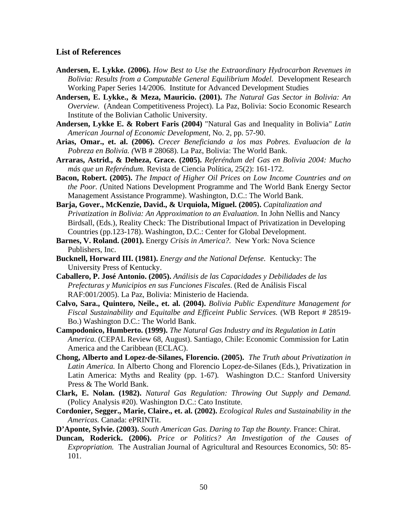#### **List of References**

- **Andersen, E. Lykke. (2006).** *How Best to Use the Extraordinary Hydrocarbon Revenues in Bolivia: Results from a Computable General Equilibrium Model.* Development Research Working Paper Series 14/2006. Institute for Advanced Development Studies
- **Andersen, E. Lykke., & Meza, Mauricio. (2001).** *The Natural Gas Sector in Bolivia: An Overview.* (Andean Competitiveness Project). La Paz, Bolivia: Socio Economic Research Institute of the Bolivian Catholic University.
- **Andersen, Lykke E. & Robert Faris (2004)** "Natural Gas and Inequality in Bolivia" *Latin American Journal of Economic Development*, No. 2, pp. 57-90.
- **Arias, Omar., et. al. (2006).** *Crecer Beneficiando a los mas Pobres. Evaluacion de la Pobreza en Bolivia. (*WB # 28068). La Paz, Bolivia: The World Bank.
- **Arraras, Astrid., & Deheza, Grace. (2005).** *Referéndum del Gas en Bolivia 2004: Mucho más que un Referéndum.* Revista de Ciencia Política, 25(2): 161-172.
- **Bacon, Robert. (2005).** *The Impact of Higher Oil Prices on Low Income Countries and on the Poor. (*United Nations Development Programme and The World Bank Energy Sector Management Assistance Programme). Washington, D.C.: The World Bank.
- **Barja, Gover., McKenzie, David., & Urquiola, Miguel. (2005).** *Capitalization and Privatization in Bolivia: An Approximation to an Evaluation*. In John Nellis and Nancy Birdsall, (Eds.), Reality Check: The Distributional Impact of Privatization in Developing Countries (pp.123-178). Washington, D.C.: Center for Global Development.
- **Barnes, V. Roland. (2001).** Energy *Crisis in America?.* New York: Nova Science Publishers, Inc.
- **Bucknell, Horward III. (1981).** *Energy and the National Defense.* Kentucky: The University Press of Kentucky.
- **Caballero, P. José Antonio. (2005).** *Análisis de las Capacidades y Debilidades de las Prefecturas y Municipios en sus Funciones Fiscales*. (Red de Análisis Fiscal RAF:001/2005). La Paz, Bolivia: Ministerio de Hacienda.
- **Calvo, Sara., Quintero, Neile., et. al. (2004).** *Bolivia Public Expenditure Management for Fiscal Sustainability and Equitalbe and Efficeint Public Services.* (WB Report # 28519- Bo.) Washington D.C.: The World Bank.
- **Campodonico, Humberto. (1999).** *The Natural Gas Industry and its Regulation in Latin America.* (CEPAL Review 68, August). Santiago, Chile: Economic Commission for Latin America and the Caribbean (ECLAC).
- **Chong, Alberto and Lopez-de-Silanes, Florencio. (2005).** *The Truth about Privatization in Latin America.* In Alberto Chong and Florencio Lopez-de-Silanes (Eds.), Privatization in Latin America: Myths and Reality (pp. 1-67)*.* Washington D.C.: Stanford University Press & The World Bank.
- **Clark, E. Nolan. (1982).** *Natural Gas Regulation: Throwing Out Supply and Demand.*  (Policy Analysis #20). Washington D.C.: Cato Institute.
- **Cordonier, Segger., Marie, Claire., et. al. (2002).** *Ecological Rules and Sustainability in the Americas.* Canada: ePRINTit.
- **D'Aponte, Sylvie. (2003).** *South American Gas. Daring to Tap the Bounty.* France: Chirat.
- **Duncan, Roderick. (2006).** *Price or Politics? An Investigation of the Causes of Expropriation.* The Australian Journal of Agricultural and Resources Economics, 50: 85- 101.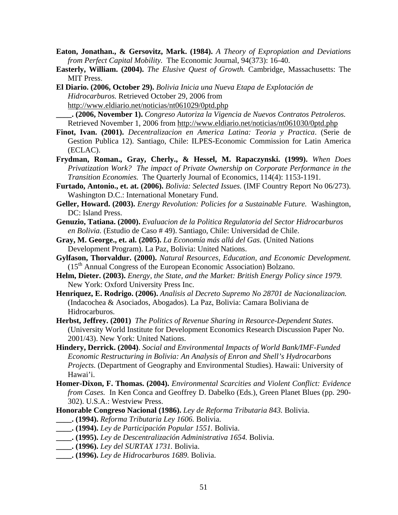- **Eaton, Jonathan., & Gersovitz, Mark. (1984).** *A Theory of Expropiation and Deviations from Perfect Capital Mobility.* The Economic Journal, 94(373): 16-40.
- **Easterly, William. (2004).** *The Elusive Quest of Growth.* Cambridge, Massachusetts: The MIT Press.
- **El Diario. (2006, October 29).** *Bolivia Inicia una Nueva Etapa de Explotación de Hidrocarburos.* Retrieved October 29, 2006 from http://www.eldiario.net/noticias/nt061029/0ptd.php

**\_\_\_\_. (2006, November 1).** *Congreso Autoriza la Vigencia de Nuevos Contratos Petroleros.*  Retrieved November 1, 2006 from http://www.eldiario.net/noticias/nt061030/0ptd.php

- **Finot, Ivan. (2001).** *Decentralizacion en America Latina: Teoria y Practica*. (Serie de Gestion Publica 12). Santiago, Chile: ILPES-Economic Commission for Latin America (ECLAC).
- **Frydman, Roman., Gray, Cherly., & Hessel, M. Rapaczynski. (1999).** *When Does Privatization Work? The impact of Private Ownership on Corporate Performance in the Transition Economies.* The Quarterly Journal of Economics, 114(4): 1153-1191.
- **Furtado, Antonio., et. at. (2006).** *Bolivia: Selected Issues.* (IMF Country Report No 06/273). Washington D.C.: International Monetary Fund.
- **Geller, Howard. (2003).** *Energy Revolution: Policies for a Sustainable Future.* Washington, DC: Island Press.
- **Genuzio, Tatiana. (2000).** *Evaluacion de la Politica Regulatoria del Sector Hidrocarburos en Bolivia.* (Estudio de Caso # 49). Santiago, Chile: Universidad de Chile.
- **Gray, M. George., et. al. (2005).** *La Economía más allá del Gas.* (United Nations Development Program). La Paz, Bolivia: United Nations.
- **Gylfason, Thorvaldur. (2000).** *Natural Resources, Education, and Economic Development.*  $(15<sup>th</sup>$  Annual Congress of the European Economic Association) Bolzano.
- **Helm, Dieter. (2003).** *Energy, the State, and the Market: British Energy Policy since 1979.*  New York: Oxford University Press Inc.
- **Henriquez, E. Rodrigo. (2006).** *Analisis al Decreto Supremo No 28701 de Nacionalizacion.*  (Indacochea & Asociados, Abogados). La Paz, Bolivia: Camara Boliviana de Hidrocarburos.
- **Herbst, Jeffrey. (2001)** *The Politics of Revenue Sharing in Resource-Dependent States*. (University World Institute for Development Economics Research Discussion Paper No. 2001/43). New York: United Nations.
- **Hindery, Derrick. (2004)**. *Social and Environmental Impacts of World Bank/IMF-Funded Economic Restructuring in Bolivia: An Analysis of Enron and Shell's Hydrocarbons Projects.* (Department of Geography and Environmental Studies). Hawaii: University of Hawai'i.
- **Homer-Dixon, F. Thomas. (2004).** *Environmental Scarcities and Violent Conflict: Evidence from Cases.* In Ken Conca and Geoffrey D. Dabelko (Eds.), Green Planet Blues (pp. 290- 302). U.S.A.: Westview Press.
- **Honorable Congreso Nacional (1986).** *Ley de Reforma Tributaria 843.* Bolivia.
- **\_\_\_\_. (1994).** *Reforma Tributaria Ley 1606.* Bolivia.
- **\_\_\_\_. (1994).** *Ley de Participación Popular 1551.* Bolivia.
- **\_\_\_\_. (1995).** *Ley de Descentralización Administrativa 1654.* Bolivia.
- **\_\_\_\_. (1996).** *Ley del SURTAX 1731.* Bolivia.
- **\_\_\_\_. (1996).** *Ley de Hidrocarburos 1689.* Bolivia.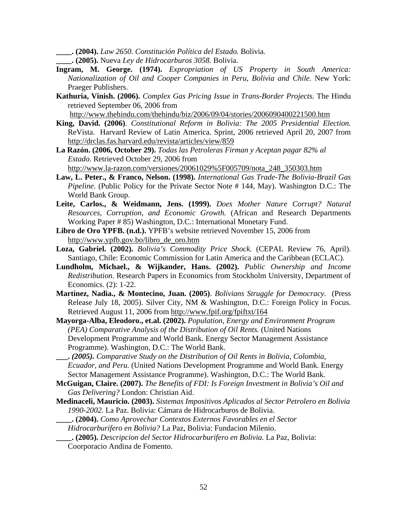**\_\_\_\_. (2004).** *Law 2650. Constitución Política del Estado.* Bolivia*.* 

- **\_\_\_\_. (2005).** Nueva *Ley de Hidrocarburos 3058.* Bolivia.
- **Ingram, M. George. (1974).** *Expropriation of US Property in South America: Nationalization of Oil and Cooper Companies in Peru, Bolivia and Chile.* New York: Praeger Publishers.
- **Kathuria, Vinish. (2006).** *Complex Gas Pricing Issue in Trans-Border Projects.* The Hindu retrieved September 06, 2006 from

http://www.thehindu.com/thehindu/biz/2006/09/04/stories/2006090400221500.htm

- **King, David. (2006)**. *Constitutional Reform in Bolivia: The 2005 Presidential Election.* ReVista. Harvard Review of Latin America. Sprint, 2006 retrieved April 20, 2007 from http://drclas.fas.harvard.edu/revista/articles/view/859
- **La Razón. (2006, October 29).** *Todas las Petroleras Firman y Aceptan pagar 82% al Estado.* Retrieved October 29, 2006 from http://www.la-razon.com/versiones/20061029%5F005709/nota\_248\_350303.htm
- **Law, L. Peter., & Franco, Nelson. (1998).** *International Gas Trade-The Bolivia-Brazil Gas Pipeline.* (Public Policy for the Private Sector Note # 144, May). Washington D.C.: The World Bank Group.
- **Leite, Carlos., & Weidmann, Jens. (1999).** *Does Mother Nature Corrupt? Natural Resources, Corruption, and Economic Growth.* (African and Research Departments Working Paper # 85) Washington, D.C.: International Monetary Fund.
- **Libro de Oro YPFB. (n.d.).** YPFB's website retrieved November 15, 2006 from http://www.ypfb.gov.bo/libro\_de\_oro.htm
- **Loza, Gabriel. (2002).** *Bolivia's Commodity Price Shock.* (CEPAL Review 76, April). Santiago, Chile: Economic Commission for Latin America and the Caribbean (ECLAC).
- **Lundholm, Michael., & Wijkander, Hans. (2002).** *Public Ownership and Income Redistribution.* Research Papers in Economics from Stockholm University, Department of Economics. (2): 1-22.
- **Martínez, Nadia., & Montecino, Juan. (2005)**. *Bolivians Struggle for Democracy.* (Press Release July 18, 2005). Silver City, NM & Washington, D.C.: Foreign Policy in Focus. Retrieved August 11, 2006 from http://www.fpif.org/fpiftxt/164
- **Mayorga-Alba, Eleodoro., et.al. (2002).** *Population, Energy and Environment Program (PEA) Comparative Analysis of the Distribution of Oil Rents.* (United Nations Development Programme and World Bank. Energy Sector Management Assistance Programme). Washington, D.C.: The World Bank.
- **\_\_\_.** *(2005). Comparative Study on the Distribution of Oil Rents in Bolivia, Colombia, Ecuador, and Peru.* (United Nations Development Programme and World Bank. Energy Sector Management Assistance Programme). Washington, D.C.: The World Bank.
- **McGuigan, Claire. (2007).** *The Benefits of FDI: Is Foreign Investment in Bolivia's Oil and Gas Delivering?* London: Christian Aid.
- **Medinaceli, Mauricio. (2003).** *Sistemas Impositivos Aplicados al Sector Petrolero en Bolivia 1990-2002.* La Paz. Bolivia: Cámara de Hidrocarburos de Bolivia.
	- **\_\_\_\_. (2004).** *Como Aprovechar Contextos Externos Favorables en el Sector*
	- *Hidrocarburifero en Bolivia?* La Paz, Bolivia: Fundacion Milenio.
	- **\_\_\_\_. (2005).** *Descripcion del Sector Hidrocarburifero en Bolivia.* La Paz, Bolivia:
	- Coorporacio Andina de Fomento.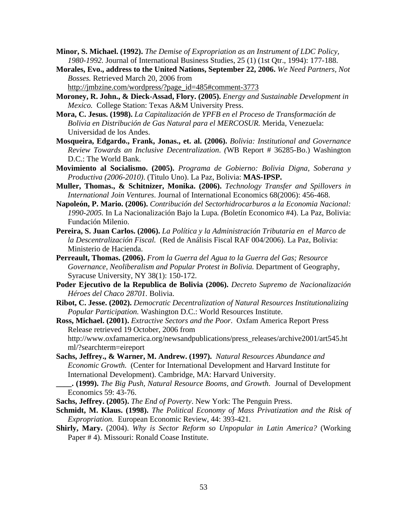- **Minor, S. Michael. (1992).** *The Demise of Expropriation as an Instrument of LDC Policy, 1980-1992.* Journal of International Business Studies, 25 (1) (1st Qtr., 1994): 177-188.
- **Morales, Evo., address to the United Nations, September 22, 2006.** *We Need Partners, Not Bosses.* Retrieved March 20, 2006 from http://jmbzine.com/wordpress/?page\_id=485#comment-3773
- **Moroney, R. John., & Dieck-Assad, Flory. (2005).** *Energy and Sustainable Development in Mexico.* College Station: Texas A&M University Press.
- **Mora, C. Jesus. (1998).** *La Capitalización de YPFB en el Proceso de Transformación de Bolivia en Distribución de Gas Natural para el MERCOSUR.* Merida, Venezuela: Universidad de los Andes.
- **Mosqueira, Edgardo., Frank, Jonas., et. al. (2006).** *Bolivia: Institutional and Governance Review Towards an Inclusive Decentralization*. *(*WB Report # 36285-Bo.) Washington D.C.: The World Bank.
- **Movimiento al Socialismo. (2005).** *Programa de Gobierno: Bolivia Digna, Soberana y Productiva (2006-2010)*. (Titulo Uno). La Paz, Bolivia: **MAS-IPSP.**
- **Muller, Thomas., & Schitnizer, Monika. (2006).** *Technology Transfer and Spillovers in International Join Ventures*. Journal of International Economics 68(2006): 456-468.
- **Napoleón, P. Mario. (2006).** *Contribución del Sectorhidrocarburos a la Economia Nacional: 1990-2005.* In La Nacionalización Bajo la Lupa*. (*Boletín Economico #4). La Paz, Bolivia: Fundación Milenio.
- **Pereira, S. Juan Carlos. (2006).** *La Política y la Administración Tributaria en el Marco de la Descentralización Fiscal.* (Red de Análisis Fiscal RAF 004/2006). La Paz, Bolivia: Ministerio de Hacienda.
- **Perreault, Thomas. (2006).** *From la Guerra del Agua to la Guerra del Gas; Resource*  Governance, Neoliberalism and Popular Protest in Bolivia. Department of Geography, Syracuse University, NY 38(1): 150-172.
- **Poder Ejecutivo de la Republica de Bolivia (2006).** *Decreto Supremo de Nacionalización Héroes del Chaco 28701.* Bolivia.
- **Ribot, C. Jesse. (2002).** *Democratic Decentralization of Natural Resources Institutionalizing Popular Participation.* Washington D.C.: World Resources Institute.

**Ross, Michael. (2001).** *Extractive Sectors and the Poor*. Oxfam America Report Press Release retrieved 19 October, 2006 from http://www.oxfamamerica.org/newsandpublications/press\_releases/archive2001/art545.ht ml/?searchterm=eireport

- **Sachs, Jeffrey., & Warner, M. Andrew. (1997).** *Natural Resources Abundance and Economic Growth.* (Center for International Development and Harvard Institute for International Development). Cambridge, MA: Harvard University.
	- **\_\_\_\_. (1999).** *The Big Push, Natural Resource Booms, and Growth*. Journal of Development Economics 59: 43-76.
- **Sachs, Jeffrey. (2005).** *The End of Poverty*. New York: The Penguin Press.

**Schmidt, M. Klaus. (1998).** *The Political Economy of Mass Privatization and the Risk of Expropriation.* European Economic Review, 44: 393-421.

**Shirly, Mary.** (2004). *Why is Sector Reform so Unpopular in Latin America?* (Working Paper # 4). Missouri: Ronald Coase Institute.